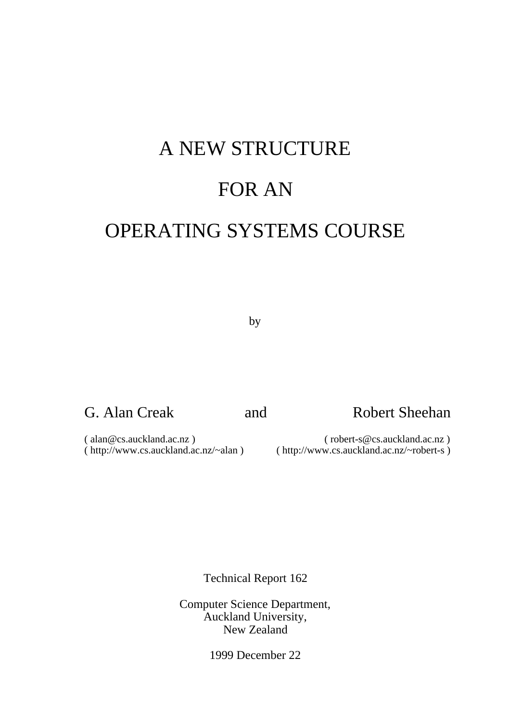# A NEW STRUCTURE FOR AN OPERATING SYSTEMS COURSE

by

## G. Alan Creak and Robert Sheehan

( alan@cs.auckland.ac.nz ) ( robert-s@cs.auckland.ac.nz )

( http://www.cs.auckland.ac.nz/~alan ) ( http://www.cs.auckland.ac.nz/~robert-s )

Technical Report 162

Computer Science Department, Auckland University, New Zealand

1999 December 22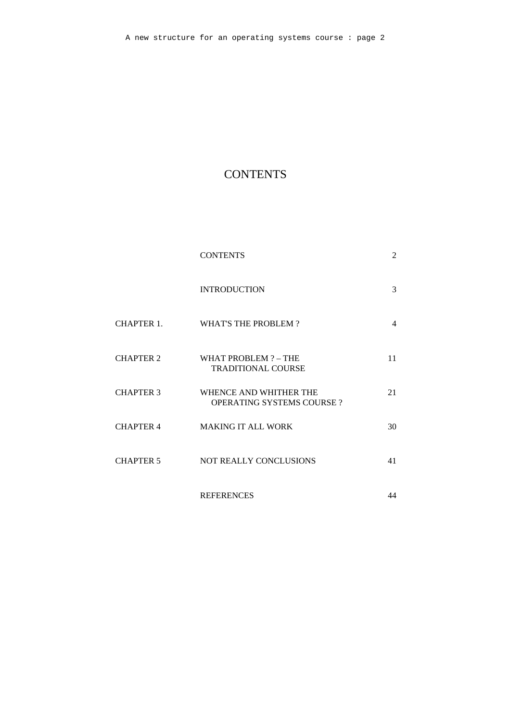## **CONTENTS**

|                  | <b>CONTENTS</b>                                            | 2  |
|------------------|------------------------------------------------------------|----|
|                  | <b>INTRODUCTION</b>                                        | 3  |
| CHAPTER 1.       | <b>WHAT'S THE PROBLEM?</b>                                 | 4  |
| <b>CHAPTER 2</b> | WHAT PROBLEM ? - THE<br>TRADITIONAL COURSE                 | 11 |
| <b>CHAPTER 3</b> | WHENCE AND WHITHER THE<br><b>OPERATING SYSTEMS COURSE?</b> | 21 |
| <b>CHAPTER 4</b> | <b>MAKING IT ALL WORK</b>                                  | 30 |
| <b>CHAPTER 5</b> | NOT REALLY CONCLUSIONS                                     | 41 |
|                  | <b>REFERENCES</b>                                          | 44 |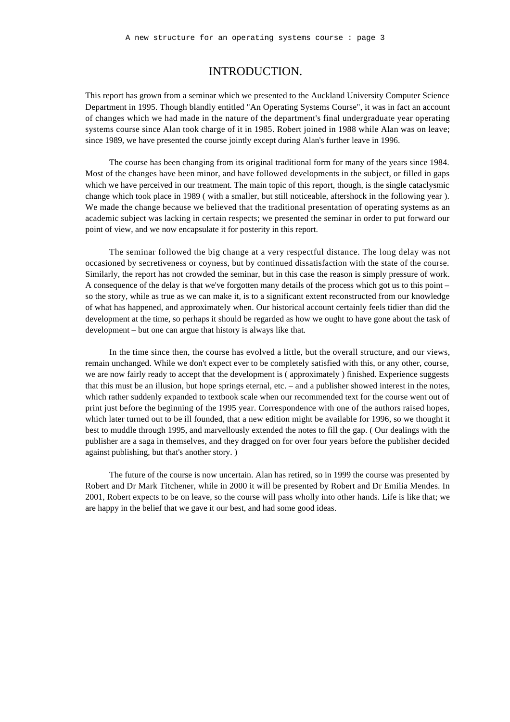## INTRODUCTION.

This report has grown from a seminar which we presented to the Auckland University Computer Science Department in 1995. Though blandly entitled "An Operating Systems Course", it was in fact an account of changes which we had made in the nature of the department's final undergraduate year operating systems course since Alan took charge of it in 1985. Robert joined in 1988 while Alan was on leave; since 1989, we have presented the course jointly except during Alan's further leave in 1996.

The course has been changing from its original traditional form for many of the years since 1984. Most of the changes have been minor, and have followed developments in the subject, or filled in gaps which we have perceived in our treatment. The main topic of this report, though, is the single cataclysmic change which took place in 1989 ( with a smaller, but still noticeable, aftershock in the following year ). We made the change because we believed that the traditional presentation of operating systems as an academic subject was lacking in certain respects; we presented the seminar in order to put forward our point of view, and we now encapsulate it for posterity in this report.

The seminar followed the big change at a very respectful distance. The long delay was not occasioned by secretiveness or coyness, but by continued dissatisfaction with the state of the course. Similarly, the report has not crowded the seminar, but in this case the reason is simply pressure of work. A consequence of the delay is that we've forgotten many details of the process which got us to this point – so the story, while as true as we can make it, is to a significant extent reconstructed from our knowledge of what has happened, and approximately when. Our historical account certainly feels tidier than did the development at the time, so perhaps it should be regarded as how we ought to have gone about the task of development – but one can argue that history is always like that.

In the time since then, the course has evolved a little, but the overall structure, and our views, remain unchanged. While we don't expect ever to be completely satisfied with this, or any other, course, we are now fairly ready to accept that the development is ( approximately ) finished. Experience suggests that this must be an illusion, but hope springs eternal, etc. – and a publisher showed interest in the notes, which rather suddenly expanded to textbook scale when our recommended text for the course went out of print just before the beginning of the 1995 year. Correspondence with one of the authors raised hopes, which later turned out to be ill founded, that a new edition might be available for 1996, so we thought it best to muddle through 1995, and marvellously extended the notes to fill the gap. ( Our dealings with the publisher are a saga in themselves, and they dragged on for over four years before the publisher decided against publishing, but that's another story. )

The future of the course is now uncertain. Alan has retired, so in 1999 the course was presented by Robert and Dr Mark Titchener, while in 2000 it will be presented by Robert and Dr Emilia Mendes. In 2001, Robert expects to be on leave, so the course will pass wholly into other hands. Life is like that; we are happy in the belief that we gave it our best, and had some good ideas.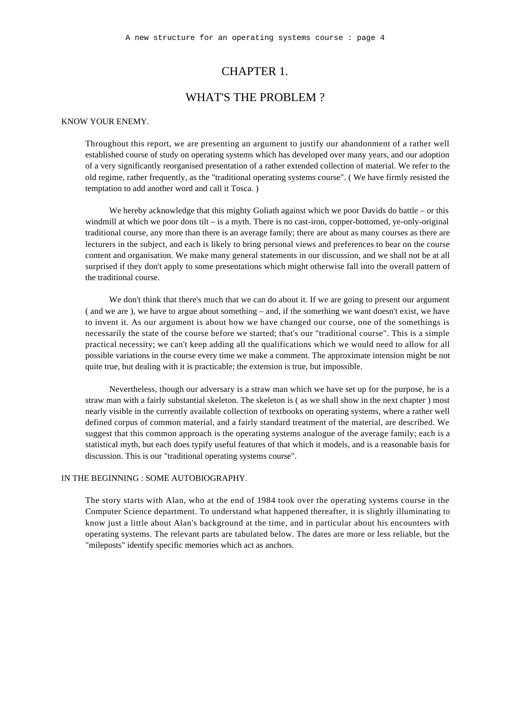## CHAPTER 1.

## WHAT'S THE PROBLEM ?

#### KNOW YOUR ENEMY.

Throughout this report, we are presenting an argument to justify our abandonment of a rather well established course of study on operating systems which has developed over many years, and our adoption of a very significantly reorganised presentation of a rather extended collection of material. We refer to the old regime, rather frequently, as the "traditional operating systems course". ( We have firmly resisted the temptation to add another word and call it Tosca. )

We hereby acknowledge that this mighty Goliath against which we poor Davids do battle – or this windmill at which we poor dons tilt – is a myth. There is no cast-iron, copper-bottomed, ye-only-original traditional course, any more than there is an average family; there are about as many courses as there are lecturers in the subject, and each is likely to bring personal views and preferences to bear on the course content and organisation. We make many general statements in our discussion, and we shall not be at all surprised if they don't apply to some presentations which might otherwise fall into the overall pattern of the traditional course.

We don't think that there's much that we can do about it. If we are going to present our argument ( and we are ), we have to argue about something – and, if the something we want doesn't exist, we have to invent it. As our argument is about how we have changed our course, one of the somethings is necessarily the state of the course before we started; that's our "traditional course". This is a simple practical necessity; we can't keep adding all the qualifications which we would need to allow for all possible variations in the course every time we make a comment. The approximate intension might be not quite true, but dealing with it is practicable; the extension is true, but impossible.

Nevertheless, though our adversary is a straw man which we have set up for the purpose, he is a straw man with a fairly substantial skeleton. The skeleton is ( as we shall show in the next chapter ) most nearly visible in the currently available collection of textbooks on operating systems, where a rather well defined corpus of common material, and a fairly standard treatment of the material, are described. We suggest that this common approach is the operating systems analogue of the average family; each is a statistical myth, but each does typify useful features of that which it models, and is a reasonable basis for discussion. This is our "traditional operating systems course".

### IN THE BEGINNING : SOME AUTOBIOGRAPHY.

The story starts with Alan, who at the end of 1984 took over the operating systems course in the Computer Science department. To understand what happened thereafter, it is slightly illuminating to know just a little about Alan's background at the time, and in particular about his encounters with operating systems. The relevant parts are tabulated below. The dates are more or less reliable, but the "mileposts" identify specific memories which act as anchors.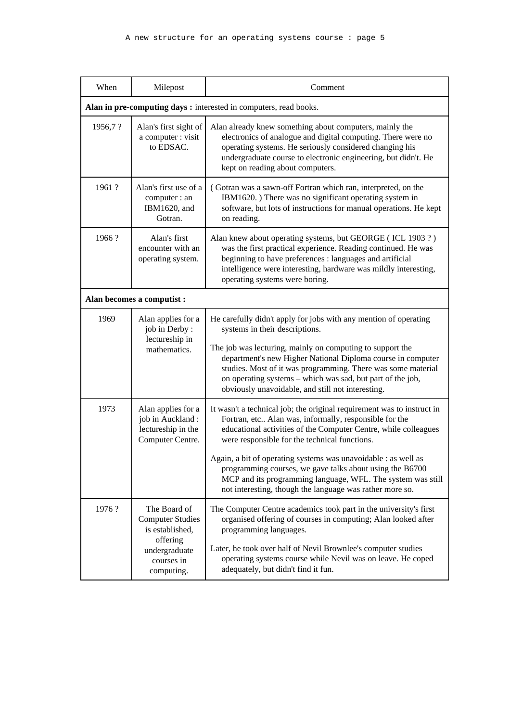| When    | Milepost                                                                                                            | Comment                                                                                                                                                                                                                                                                                                                                                                                                                                                                                                       |  |  |  |
|---------|---------------------------------------------------------------------------------------------------------------------|---------------------------------------------------------------------------------------------------------------------------------------------------------------------------------------------------------------------------------------------------------------------------------------------------------------------------------------------------------------------------------------------------------------------------------------------------------------------------------------------------------------|--|--|--|
|         | Alan in pre-computing days : interested in computers, read books.                                                   |                                                                                                                                                                                                                                                                                                                                                                                                                                                                                                               |  |  |  |
| 1956,7? | Alan's first sight of<br>a computer : visit<br>to EDSAC.                                                            | Alan already knew something about computers, mainly the<br>electronics of analogue and digital computing. There were no<br>operating systems. He seriously considered changing his<br>undergraduate course to electronic engineering, but didn't. He<br>kept on reading about computers.                                                                                                                                                                                                                      |  |  |  |
| 1961?   | Alan's first use of a<br>computer : an<br>IBM1620, and<br>Gotran.                                                   | (Gotran was a sawn-off Fortran which ran, interpreted, on the<br>IBM1620.) There was no significant operating system in<br>software, but lots of instructions for manual operations. He kept<br>on reading.                                                                                                                                                                                                                                                                                                   |  |  |  |
| 1966?   | Alan's first<br>encounter with an<br>operating system.                                                              | Alan knew about operating systems, but GEORGE (ICL 1903?)<br>was the first practical experience. Reading continued. He was<br>beginning to have preferences : languages and artificial<br>intelligence were interesting, hardware was mildly interesting,<br>operating systems were boring.                                                                                                                                                                                                                   |  |  |  |
|         | Alan becomes a computist :                                                                                          |                                                                                                                                                                                                                                                                                                                                                                                                                                                                                                               |  |  |  |
| 1969    | Alan applies for a<br>job in Derby:<br>lectureship in<br>mathematics.                                               | He carefully didn't apply for jobs with any mention of operating<br>systems in their descriptions.<br>The job was lecturing, mainly on computing to support the<br>department's new Higher National Diploma course in computer<br>studies. Most of it was programming. There was some material<br>on operating systems - which was sad, but part of the job,<br>obviously unavoidable, and still not interesting.                                                                                             |  |  |  |
| 1973    | Alan applies for a<br>job in Auckland:<br>lectureship in the<br>Computer Centre.                                    | It wasn't a technical job; the original requirement was to instruct in<br>Fortran, etc Alan was, informally, responsible for the<br>educational activities of the Computer Centre, while colleagues<br>were responsible for the technical functions.<br>Again, a bit of operating systems was unavoidable : as well as<br>programming courses, we gave talks about using the B6700<br>MCP and its programming language, WFL. The system was still<br>not interesting, though the language was rather more so. |  |  |  |
| 1976?   | The Board of<br><b>Computer Studies</b><br>is established,<br>offering<br>undergraduate<br>courses in<br>computing. | The Computer Centre academics took part in the university's first<br>organised offering of courses in computing; Alan looked after<br>programming languages.<br>Later, he took over half of Nevil Brownlee's computer studies<br>operating systems course while Nevil was on leave. He coped<br>adequately, but didn't find it fun.                                                                                                                                                                           |  |  |  |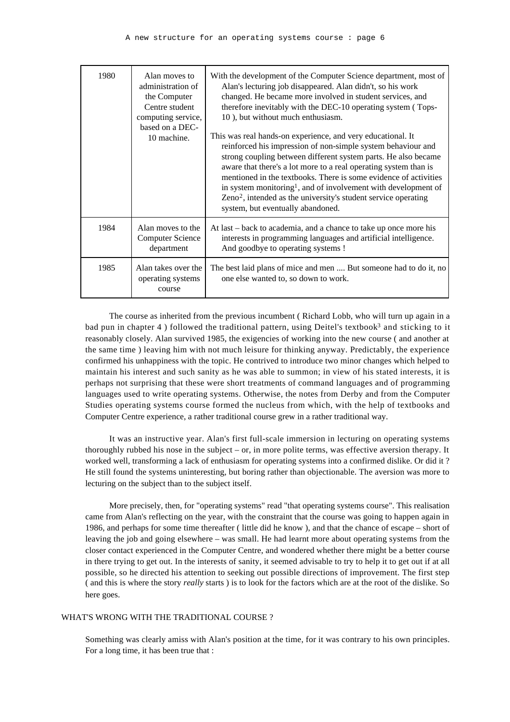| 1980 | Alan moves to<br>administration of<br>the Computer<br>Centre student<br>computing service,<br>based on a DEC-<br>10 machine. | With the development of the Computer Science department, most of<br>Alan's lecturing job disappeared. Alan didn't, so his work<br>changed. He became more involved in student services, and<br>therefore inevitably with the DEC-10 operating system (Tops-<br>10), but without much enthusiasm.<br>This was real hands-on experience, and very educational. It<br>reinforced his impression of non-simple system behaviour and<br>strong coupling between different system parts. He also became<br>aware that there's a lot more to a real operating system than is<br>mentioned in the textbooks. There is some evidence of activities<br>in system monitoring <sup>1</sup> , and of involvement with development of<br>Zeno <sup>2</sup> , intended as the university's student service operating<br>system, but eventually abandoned. |
|------|------------------------------------------------------------------------------------------------------------------------------|--------------------------------------------------------------------------------------------------------------------------------------------------------------------------------------------------------------------------------------------------------------------------------------------------------------------------------------------------------------------------------------------------------------------------------------------------------------------------------------------------------------------------------------------------------------------------------------------------------------------------------------------------------------------------------------------------------------------------------------------------------------------------------------------------------------------------------------------|
| 1984 | Alan moves to the<br><b>Computer Science</b><br>department                                                                   | At last – back to academia, and a chance to take up once more his<br>interests in programming languages and artificial intelligence.<br>And goodbye to operating systems !                                                                                                                                                                                                                                                                                                                                                                                                                                                                                                                                                                                                                                                                 |
| 1985 | Alan takes over the<br>operating systems<br>course                                                                           | The best laid plans of mice and men  But someone had to do it, no<br>one else wanted to, so down to work.                                                                                                                                                                                                                                                                                                                                                                                                                                                                                                                                                                                                                                                                                                                                  |

The course as inherited from the previous incumbent ( Richard Lobb, who will turn up again in a bad pun in chapter 4) followed the traditional pattern, using Deitel's textbook<sup>3</sup> and sticking to it reasonably closely. Alan survived 1985, the exigencies of working into the new course ( and another at the same time ) leaving him with not much leisure for thinking anyway. Predictably, the experience confirmed his unhappiness with the topic. He contrived to introduce two minor changes which helped to maintain his interest and such sanity as he was able to summon; in view of his stated interests, it is perhaps not surprising that these were short treatments of command languages and of programming languages used to write operating systems. Otherwise, the notes from Derby and from the Computer Studies operating systems course formed the nucleus from which, with the help of textbooks and Computer Centre experience, a rather traditional course grew in a rather traditional way.

It was an instructive year. Alan's first full-scale immersion in lecturing on operating systems thoroughly rubbed his nose in the subject – or, in more polite terms, was effective aversion therapy. It worked well, transforming a lack of enthusiasm for operating systems into a confirmed dislike. Or did it ? He still found the systems uninteresting, but boring rather than objectionable. The aversion was more to lecturing on the subject than to the subject itself.

More precisely, then, for "operating systems" read "that operating systems course". This realisation came from Alan's reflecting on the year, with the constraint that the course was going to happen again in 1986, and perhaps for some time thereafter ( little did he know ), and that the chance of escape – short of leaving the job and going elsewhere – was small. He had learnt more about operating systems from the closer contact experienced in the Computer Centre, and wondered whether there might be a better course in there trying to get out. In the interests of sanity, it seemed advisable to try to help it to get out if at all possible, so he directed his attention to seeking out possible directions of improvement. The first step ( and this is where the story *really* starts ) is to look for the factors which are at the root of the dislike. So here goes.

#### WHAT'S WRONG WITH THE TRADITIONAL COURSE?

Something was clearly amiss with Alan's position at the time, for it was contrary to his own principles. For a long time, it has been true that :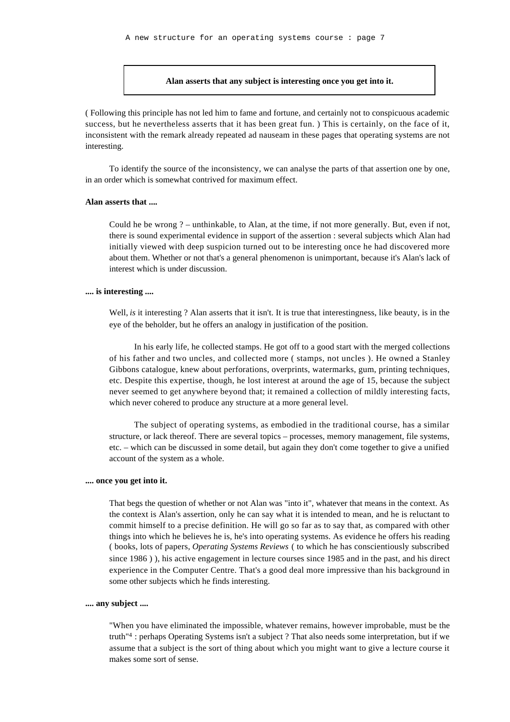#### **Alan asserts that any subject is interesting once you get into it.**

( Following this principle has not led him to fame and fortune, and certainly not to conspicuous academic success, but he nevertheless asserts that it has been great fun. ) This is certainly, on the face of it, inconsistent with the remark already repeated ad nauseam in these pages that operating systems are not interesting.

To identify the source of the inconsistency, we can analyse the parts of that assertion one by one, in an order which is somewhat contrived for maximum effect.

#### **Alan asserts that ....**

Could he be wrong ? – unthinkable, to Alan, at the time, if not more generally. But, even if not, there is sound experimental evidence in support of the assertion : several subjects which Alan had initially viewed with deep suspicion turned out to be interesting once he had discovered more about them. Whether or not that's a general phenomenon is unimportant, because it's Alan's lack of interest which is under discussion.

#### **.... is interesting ....**

Well, *is* it interesting ? Alan asserts that it isn't. It is true that interestingness, like beauty, is in the eye of the beholder, but he offers an analogy in justification of the position.

In his early life, he collected stamps. He got off to a good start with the merged collections of his father and two uncles, and collected more ( stamps, not uncles ). He owned a Stanley Gibbons catalogue, knew about perforations, overprints, watermarks, gum, printing techniques, etc. Despite this expertise, though, he lost interest at around the age of 15, because the subject never seemed to get anywhere beyond that; it remained a collection of mildly interesting facts, which never cohered to produce any structure at a more general level.

The subject of operating systems, as embodied in the traditional course, has a similar structure, or lack thereof. There are several topics – processes, memory management, file systems, etc. – which can be discussed in some detail, but again they don't come together to give a unified account of the system as a whole.

#### **.... once you get into it.**

That begs the question of whether or not Alan was "into it", whatever that means in the context. As the context is Alan's assertion, only he can say what it is intended to mean, and he is reluctant to commit himself to a precise definition. He will go so far as to say that, as compared with other things into which he believes he is, he's into operating systems. As evidence he offers his reading ( books, lots of papers, *Operating Systems Reviews* ( to which he has conscientiously subscribed since 1986 ) ), his active engagement in lecture courses since 1985 and in the past, and his direct experience in the Computer Centre. That's a good deal more impressive than his background in some other subjects which he finds interesting.

#### **.... any subject ....**

"When you have eliminated the impossible, whatever remains, however improbable, must be the truth"<sup>4</sup> : perhaps Operating Systems isn't a subject ? That also needs some interpretation, but if we assume that a subject is the sort of thing about which you might want to give a lecture course it makes some sort of sense.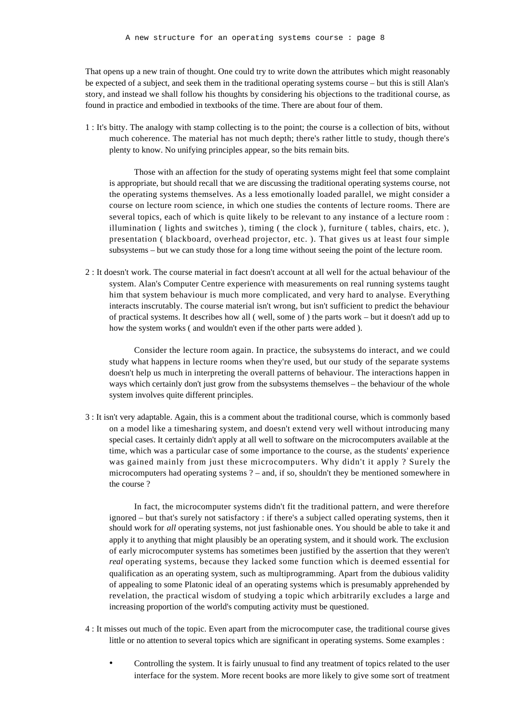That opens up a new train of thought. One could try to write down the attributes which might reasonably be expected of a subject, and seek them in the traditional operating systems course – but this is still Alan's story, and instead we shall follow his thoughts by considering his objections to the traditional course, as found in practice and embodied in textbooks of the time. There are about four of them.

1 : It's bitty. The analogy with stamp collecting is to the point; the course is a collection of bits, without much coherence. The material has not much depth; there's rather little to study, though there's plenty to know. No unifying principles appear, so the bits remain bits.

Those with an affection for the study of operating systems might feel that some complaint is appropriate, but should recall that we are discussing the traditional operating systems course, not the operating systems themselves. As a less emotionally loaded parallel, we might consider a course on lecture room science, in which one studies the contents of lecture rooms. There are several topics, each of which is quite likely to be relevant to any instance of a lecture room : illumination ( lights and switches ), timing ( the clock ), furniture ( tables, chairs, etc. ), presentation ( blackboard, overhead projector, etc. ). That gives us at least four simple subsystems – but we can study those for a long time without seeing the point of the lecture room.

2 : It doesn't work. The course material in fact doesn't account at all well for the actual behaviour of the system. Alan's Computer Centre experience with measurements on real running systems taught him that system behaviour is much more complicated, and very hard to analyse. Everything interacts inscrutably. The course material isn't wrong, but isn't sufficient to predict the behaviour of practical systems. It describes how all ( well, some of ) the parts work – but it doesn't add up to how the system works ( and wouldn't even if the other parts were added ).

Consider the lecture room again. In practice, the subsystems do interact, and we could study what happens in lecture rooms when they're used, but our study of the separate systems doesn't help us much in interpreting the overall patterns of behaviour. The interactions happen in ways which certainly don't just grow from the subsystems themselves – the behaviour of the whole system involves quite different principles.

3 : It isn't very adaptable. Again, this is a comment about the traditional course, which is commonly based on a model like a timesharing system, and doesn't extend very well without introducing many special cases. It certainly didn't apply at all well to software on the microcomputers available at the time, which was a particular case of some importance to the course, as the students' experience was gained mainly from just these microcomputers. Why didn't it apply ? Surely the microcomputers had operating systems ? – and, if so, shouldn't they be mentioned somewhere in the course ?

In fact, the microcomputer systems didn't fit the traditional pattern, and were therefore ignored – but that's surely not satisfactory : if there's a subject called operating systems, then it should work for *all* operating systems, not just fashionable ones. You should be able to take it and apply it to anything that might plausibly be an operating system, and it should work. The exclusion of early microcomputer systems has sometimes been justified by the assertion that they weren't *real* operating systems, because they lacked some function which is deemed essential for qualification as an operating system, such as multiprogramming. Apart from the dubious validity of appealing to some Platonic ideal of an operating systems which is presumably apprehended by revelation, the practical wisdom of studying a topic which arbitrarily excludes a large and increasing proportion of the world's computing activity must be questioned.

- 4 : It misses out much of the topic. Even apart from the microcomputer case, the traditional course gives little or no attention to several topics which are significant in operating systems. Some examples :
	- Controlling the system. It is fairly unusual to find any treatment of topics related to the user interface for the system. More recent books are more likely to give some sort of treatment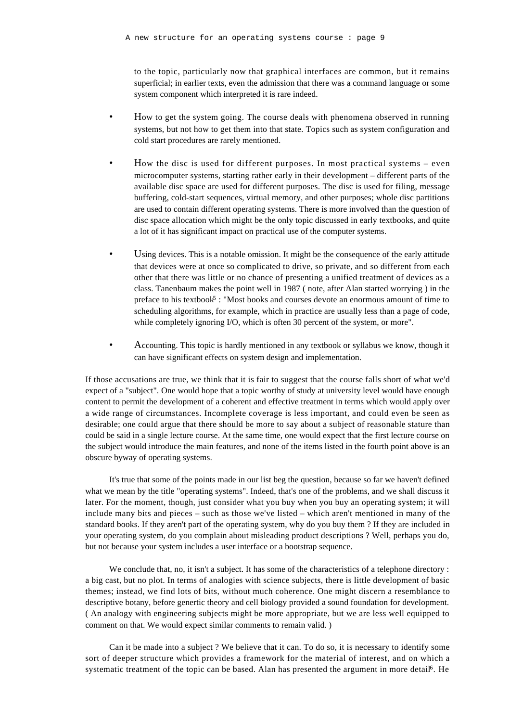to the topic, particularly now that graphical interfaces are common, but it remains superficial; in earlier texts, even the admission that there was a command language or some system component which interpreted it is rare indeed.

- How to get the system going. The course deals with phenomena observed in running systems, but not how to get them into that state. Topics such as system configuration and cold start procedures are rarely mentioned.
- How the disc is used for different purposes. In most practical systems even microcomputer systems, starting rather early in their development – different parts of the available disc space are used for different purposes. The disc is used for filing, message buffering, cold-start sequences, virtual memory, and other purposes; whole disc partitions are used to contain different operating systems. There is more involved than the question of disc space allocation which might be the only topic discussed in early textbooks, and quite a lot of it has significant impact on practical use of the computer systems.
- Using devices. This is a notable omission. It might be the consequence of the early attitude that devices were at once so complicated to drive, so private, and so different from each other that there was little or no chance of presenting a unified treatment of devices as a class. Tanenbaum makes the point well in 1987 ( note, after Alan started worrying ) in the preface to his textbook<sup>5</sup>: "Most books and courses devote an enormous amount of time to scheduling algorithms, for example, which in practice are usually less than a page of code, while completely ignoring I/O, which is often 30 percent of the system, or more".
- Accounting. This topic is hardly mentioned in any textbook or syllabus we know, though it can have significant effects on system design and implementation.

If those accusations are true, we think that it is fair to suggest that the course falls short of what we'd expect of a "subject". One would hope that a topic worthy of study at university level would have enough content to permit the development of a coherent and effective treatment in terms which would apply over a wide range of circumstances. Incomplete coverage is less important, and could even be seen as desirable; one could argue that there should be more to say about a subject of reasonable stature than could be said in a single lecture course. At the same time, one would expect that the first lecture course on the subject would introduce the main features, and none of the items listed in the fourth point above is an obscure byway of operating systems.

It's true that some of the points made in our list beg the question, because so far we haven't defined what we mean by the title "operating systems". Indeed, that's one of the problems, and we shall discuss it later. For the moment, though, just consider what you buy when you buy an operating system; it will include many bits and pieces – such as those we've listed – which aren't mentioned in many of the standard books. If they aren't part of the operating system, why do you buy them ? If they are included in your operating system, do you complain about misleading product descriptions ? Well, perhaps you do, but not because your system includes a user interface or a bootstrap sequence.

We conclude that, no, it isn't a subject. It has some of the characteristics of a telephone directory : a big cast, but no plot. In terms of analogies with science subjects, there is little development of basic themes; instead, we find lots of bits, without much coherence. One might discern a resemblance to descriptive botany, before genertic theory and cell biology provided a sound foundation for development. ( An analogy with engineering subjects might be more appropriate, but we are less well equipped to comment on that. We would expect similar comments to remain valid. )

Can it be made into a subject ? We believe that it can. To do so, it is necessary to identify some sort of deeper structure which provides a framework for the material of interest, and on which a systematic treatment of the topic can be based. Alan has presented the argument in more detail<sup>6</sup>. He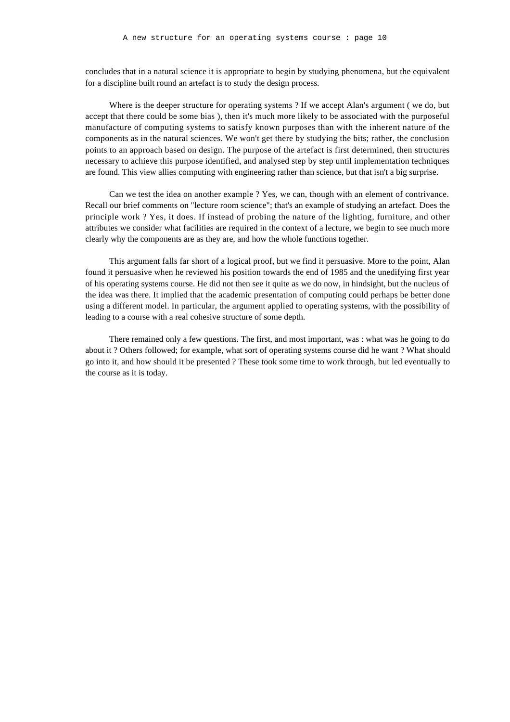concludes that in a natural science it is appropriate to begin by studying phenomena, but the equivalent for a discipline built round an artefact is to study the design process.

Where is the deeper structure for operating systems ? If we accept Alan's argument ( we do, but accept that there could be some bias ), then it's much more likely to be associated with the purposeful manufacture of computing systems to satisfy known purposes than with the inherent nature of the components as in the natural sciences. We won't get there by studying the bits; rather, the conclusion points to an approach based on design. The purpose of the artefact is first determined, then structures necessary to achieve this purpose identified, and analysed step by step until implementation techniques are found. This view allies computing with engineering rather than science, but that isn't a big surprise.

Can we test the idea on another example ? Yes, we can, though with an element of contrivance. Recall our brief comments on "lecture room science"; that's an example of studying an artefact. Does the principle work ? Yes, it does. If instead of probing the nature of the lighting, furniture, and other attributes we consider what facilities are required in the context of a lecture, we begin to see much more clearly why the components are as they are, and how the whole functions together.

This argument falls far short of a logical proof, but we find it persuasive. More to the point, Alan found it persuasive when he reviewed his position towards the end of 1985 and the unedifying first year of his operating systems course. He did not then see it quite as we do now, in hindsight, but the nucleus of the idea was there. It implied that the academic presentation of computing could perhaps be better done using a different model. In particular, the argument applied to operating systems, with the possibility of leading to a course with a real cohesive structure of some depth.

There remained only a few questions. The first, and most important, was : what was he going to do about it ? Others followed; for example, what sort of operating systems course did he want ? What should go into it, and how should it be presented ? These took some time to work through, but led eventually to the course as it is today.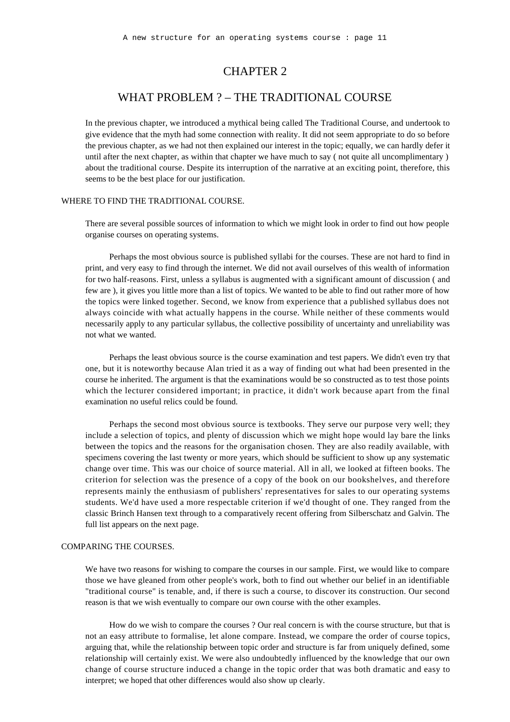## CHAPTER 2

## WHAT PROBLEM ? – THE TRADITIONAL COURSE

In the previous chapter, we introduced a mythical being called The Traditional Course, and undertook to give evidence that the myth had some connection with reality. It did not seem appropriate to do so before the previous chapter, as we had not then explained our interest in the topic; equally, we can hardly defer it until after the next chapter, as within that chapter we have much to say ( not quite all uncomplimentary ) about the traditional course. Despite its interruption of the narrative at an exciting point, therefore, this seems to be the best place for our justification.

#### WHERE TO FIND THE TRADITIONAL COURSE.

There are several possible sources of information to which we might look in order to find out how people organise courses on operating systems.

Perhaps the most obvious source is published syllabi for the courses. These are not hard to find in print, and very easy to find through the internet. We did not avail ourselves of this wealth of information for two half-reasons. First, unless a syllabus is augmented with a significant amount of discussion ( and few are ), it gives you little more than a list of topics. We wanted to be able to find out rather more of how the topics were linked together. Second, we know from experience that a published syllabus does not always coincide with what actually happens in the course. While neither of these comments would necessarily apply to any particular syllabus, the collective possibility of uncertainty and unreliability was not what we wanted.

Perhaps the least obvious source is the course examination and test papers. We didn't even try that one, but it is noteworthy because Alan tried it as a way of finding out what had been presented in the course he inherited. The argument is that the examinations would be so constructed as to test those points which the lecturer considered important; in practice, it didn't work because apart from the final examination no useful relics could be found.

Perhaps the second most obvious source is textbooks. They serve our purpose very well; they include a selection of topics, and plenty of discussion which we might hope would lay bare the links between the topics and the reasons for the organisation chosen. They are also readily available, with specimens covering the last twenty or more years, which should be sufficient to show up any systematic change over time. This was our choice of source material. All in all, we looked at fifteen books. The criterion for selection was the presence of a copy of the book on our bookshelves, and therefore represents mainly the enthusiasm of publishers' representatives for sales to our operating systems students. We'd have used a more respectable criterion if we'd thought of one. They ranged from the classic Brinch Hansen text through to a comparatively recent offering from Silberschatz and Galvin. The full list appears on the next page.

#### COMPARING THE COURSES.

We have two reasons for wishing to compare the courses in our sample. First, we would like to compare those we have gleaned from other people's work, both to find out whether our belief in an identifiable "traditional course" is tenable, and, if there is such a course, to discover its construction. Our second reason is that we wish eventually to compare our own course with the other examples.

How do we wish to compare the courses ? Our real concern is with the course structure, but that is not an easy attribute to formalise, let alone compare. Instead, we compare the order of course topics, arguing that, while the relationship between topic order and structure is far from uniquely defined, some relationship will certainly exist. We were also undoubtedly influenced by the knowledge that our own change of course structure induced a change in the topic order that was both dramatic and easy to interpret; we hoped that other differences would also show up clearly.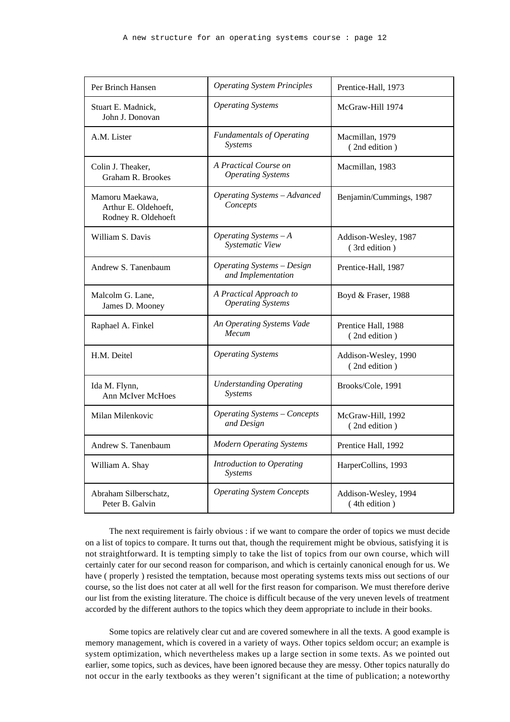| Per Brinch Hansen                                              | <b>Operating System Principles</b>                      | Prentice-Hall, 1973                   |
|----------------------------------------------------------------|---------------------------------------------------------|---------------------------------------|
| Stuart E. Madnick,<br>John J. Donovan                          | <b>Operating Systems</b>                                | McGraw-Hill 1974                      |
| A.M. Lister                                                    | <b>Fundamentals of Operating</b><br>Systems             | Macmillan, 1979<br>(2nd edition)      |
| Colin J. Theaker,<br><b>Graham R. Brookes</b>                  | A Practical Course on<br><b>Operating Systems</b>       | Macmillan, 1983                       |
| Mamoru Maekawa,<br>Arthur E. Oldehoeft,<br>Rodney R. Oldehoeft | <b>Operating Systems - Advanced</b><br>Concepts         | Benjamin/Cummings, 1987               |
| William S. Davis                                               | Operating Systems $-A$<br>Systematic View               | Addison-Wesley, 1987<br>(3rd edition) |
| Andrew S. Tanenbaum                                            | <b>Operating Systems - Design</b><br>and Implementation | Prentice-Hall, 1987                   |
| Malcolm G. Lane,<br>James D. Mooney                            | A Practical Approach to<br><b>Operating Systems</b>     | Boyd & Fraser, 1988                   |
| Raphael A. Finkel                                              | An Operating Systems Vade<br>Mecum                      | Prentice Hall, 1988<br>(2nd edition)  |
| H.M. Deitel                                                    | <b>Operating Systems</b>                                | Addison-Wesley, 1990<br>(2nd edition) |
| Ida M. Flynn,<br><b>Ann McIver McHoes</b>                      | <b>Understanding Operating</b><br>Systems               | Brooks/Cole, 1991                     |
| Milan Milenkovic                                               | <b>Operating Systems - Concepts</b><br>and Design       | McGraw-Hill, 1992<br>(2nd edition)    |
| Andrew S. Tanenbaum                                            | <b>Modern Operating Systems</b>                         | Prentice Hall, 1992                   |
| William A. Shay                                                | Introduction to Operating<br>Systems                    | HarperCollins, 1993                   |
| Abraham Silberschatz,<br>Peter B. Galvin                       | <b>Operating System Concepts</b>                        | Addison-Wesley, 1994<br>(4th edition) |

The next requirement is fairly obvious : if we want to compare the order of topics we must decide on a list of topics to compare. It turns out that, though the requirement might be obvious, satisfying it is not straightforward. It is tempting simply to take the list of topics from our own course, which will certainly cater for our second reason for comparison, and which is certainly canonical enough for us. We have ( properly ) resisted the temptation, because most operating systems texts miss out sections of our course, so the list does not cater at all well for the first reason for comparison. We must therefore derive our list from the existing literature. The choice is difficult because of the very uneven levels of treatment accorded by the different authors to the topics which they deem appropriate to include in their books.

Some topics are relatively clear cut and are covered somewhere in all the texts. A good example is memory management, which is covered in a variety of ways. Other topics seldom occur; an example is system optimization, which nevertheless makes up a large section in some texts. As we pointed out earlier, some topics, such as devices, have been ignored because they are messy. Other topics naturally do not occur in the early textbooks as they weren't significant at the time of publication; a noteworthy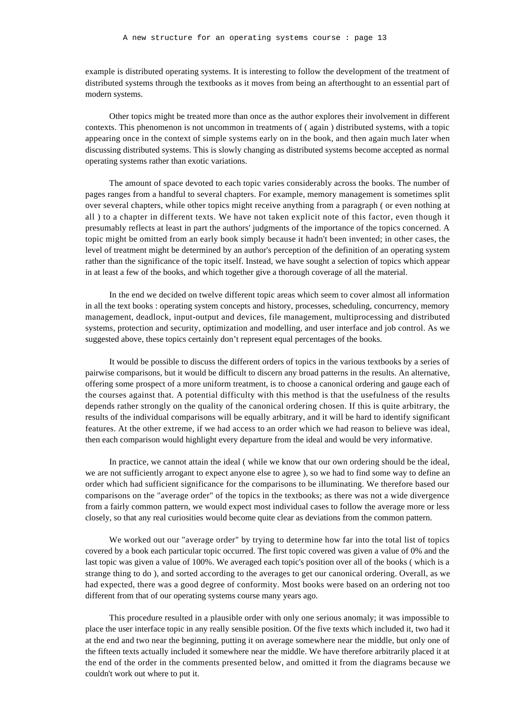example is distributed operating systems. It is interesting to follow the development of the treatment of distributed systems through the textbooks as it moves from being an afterthought to an essential part of modern systems.

Other topics might be treated more than once as the author explores their involvement in different contexts. This phenomenon is not uncommon in treatments of ( again ) distributed systems, with a topic appearing once in the context of simple systems early on in the book, and then again much later when discussing distributed systems. This is slowly changing as distributed systems become accepted as normal operating systems rather than exotic variations.

The amount of space devoted to each topic varies considerably across the books. The number of pages ranges from a handful to several chapters. For example, memory management is sometimes split over several chapters, while other topics might receive anything from a paragraph ( or even nothing at all ) to a chapter in different texts. We have not taken explicit note of this factor, even though it presumably reflects at least in part the authors' judgments of the importance of the topics concerned. A topic might be omitted from an early book simply because it hadn't been invented; in other cases, the level of treatment might be determined by an author's perception of the definition of an operating system rather than the significance of the topic itself. Instead, we have sought a selection of topics which appear in at least a few of the books, and which together give a thorough coverage of all the material.

In the end we decided on twelve different topic areas which seem to cover almost all information in all the text books : operating system concepts and history, processes, scheduling, concurrency, memory management, deadlock, input-output and devices, file management, multiprocessing and distributed systems, protection and security, optimization and modelling, and user interface and job control. As we suggested above, these topics certainly don't represent equal percentages of the books.

It would be possible to discuss the different orders of topics in the various textbooks by a series of pairwise comparisons, but it would be difficult to discern any broad patterns in the results. An alternative, offering some prospect of a more uniform treatment, is to choose a canonical ordering and gauge each of the courses against that. A potential difficulty with this method is that the usefulness of the results depends rather strongly on the quality of the canonical ordering chosen. If this is quite arbitrary, the results of the individual comparisons will be equally arbitrary, and it will be hard to identify significant features. At the other extreme, if we had access to an order which we had reason to believe was ideal, then each comparison would highlight every departure from the ideal and would be very informative.

In practice, we cannot attain the ideal ( while we know that our own ordering should be the ideal, we are not sufficiently arrogant to expect anyone else to agree ), so we had to find some way to define an order which had sufficient significance for the comparisons to be illuminating. We therefore based our comparisons on the "average order" of the topics in the textbooks; as there was not a wide divergence from a fairly common pattern, we would expect most individual cases to follow the average more or less closely, so that any real curiosities would become quite clear as deviations from the common pattern.

We worked out our "average order" by trying to determine how far into the total list of topics covered by a book each particular topic occurred. The first topic covered was given a value of 0% and the last topic was given a value of 100%. We averaged each topic's position over all of the books ( which is a strange thing to do ), and sorted according to the averages to get our canonical ordering. Overall, as we had expected, there was a good degree of conformity. Most books were based on an ordering not too different from that of our operating systems course many years ago.

This procedure resulted in a plausible order with only one serious anomaly; it was impossible to place the user interface topic in any really sensible position. Of the five texts which included it, two had it at the end and two near the beginning, putting it on average somewhere near the middle, but only one of the fifteen texts actually included it somewhere near the middle. We have therefore arbitrarily placed it at the end of the order in the comments presented below, and omitted it from the diagrams because we couldn't work out where to put it.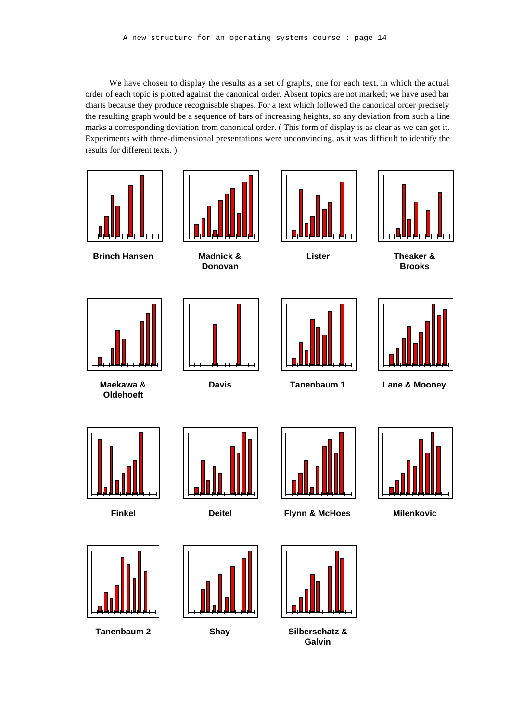We have chosen to display the results as a set of graphs, one for each text, in which the actual order of each topic is plotted against the canonical order. Absent topics are not marked; we have used bar charts because they produce recognisable shapes. For a text which followed the canonical order precisely the resulting graph would be a sequence of bars of increasing heights, so any deviation from such a line marks a corresponding deviation from canonical order. ( This form of display is as clear as we can get it. Experiments with three-dimensional presentations were unconvincing, as it was difficult to identify the results for different texts. )



**Galvin**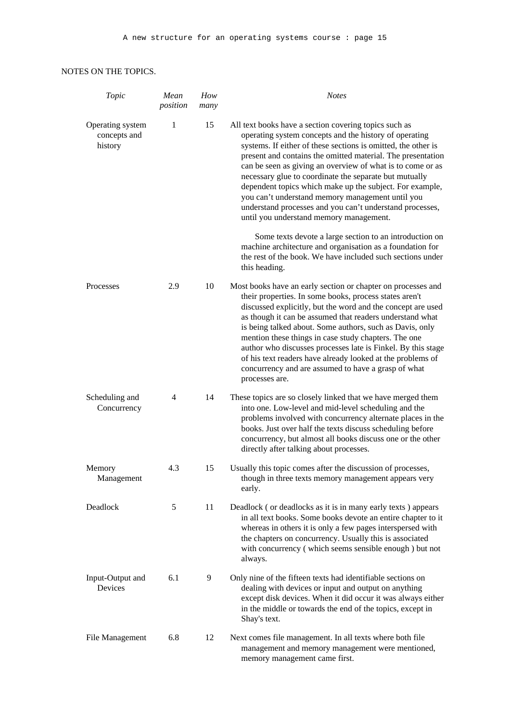## NOTES ON THE TOPICS.

| Topic                                       | Mean<br>position | How<br>many | <b>Notes</b>                                                                                                                                                                                                                                                                                                                                                                                                                                                                                                                                                                                   |
|---------------------------------------------|------------------|-------------|------------------------------------------------------------------------------------------------------------------------------------------------------------------------------------------------------------------------------------------------------------------------------------------------------------------------------------------------------------------------------------------------------------------------------------------------------------------------------------------------------------------------------------------------------------------------------------------------|
| Operating system<br>concepts and<br>history | 1                | 15          | All text books have a section covering topics such as<br>operating system concepts and the history of operating<br>systems. If either of these sections is omitted, the other is<br>present and contains the omitted material. The presentation<br>can be seen as giving an overview of what is to come or as<br>necessary glue to coordinate the separate but mutually<br>dependent topics which make up the subject. For example,<br>you can't understand memory management until you<br>understand processes and you can't understand processes,<br>until you understand memory management. |
|                                             |                  |             | Some texts devote a large section to an introduction on<br>machine architecture and organisation as a foundation for<br>the rest of the book. We have included such sections under<br>this heading.                                                                                                                                                                                                                                                                                                                                                                                            |
| Processes                                   | 2.9              | 10          | Most books have an early section or chapter on processes and<br>their properties. In some books, process states aren't<br>discussed explicitly, but the word and the concept are used<br>as though it can be assumed that readers understand what<br>is being talked about. Some authors, such as Davis, only<br>mention these things in case study chapters. The one<br>author who discusses processes late is Finkel. By this stage<br>of his text readers have already looked at the problems of<br>concurrency and are assumed to have a grasp of what<br>processes are.                   |
| Scheduling and<br>Concurrency               | $\overline{4}$   | 14          | These topics are so closely linked that we have merged them<br>into one. Low-level and mid-level scheduling and the<br>problems involved with concurrency alternate places in the<br>books. Just over half the texts discuss scheduling before<br>concurrency, but almost all books discuss one or the other<br>directly after talking about processes.                                                                                                                                                                                                                                        |
| Memory<br>Management                        | 4.3              | 15          | Usually this topic comes after the discussion of processes,<br>though in three texts memory management appears very<br>early.                                                                                                                                                                                                                                                                                                                                                                                                                                                                  |
| Deadlock                                    | 5                | 11          | Deadlock (or deadlocks as it is in many early texts) appears<br>in all text books. Some books devote an entire chapter to it<br>whereas in others it is only a few pages interspersed with<br>the chapters on concurrency. Usually this is associated<br>with concurrency (which seems sensible enough) but not<br>always.                                                                                                                                                                                                                                                                     |
| Input-Output and<br>Devices                 | 6.1              | 9           | Only nine of the fifteen texts had identifiable sections on<br>dealing with devices or input and output on anything<br>except disk devices. When it did occur it was always either<br>in the middle or towards the end of the topics, except in<br>Shay's text.                                                                                                                                                                                                                                                                                                                                |
| File Management                             | 6.8              | 12          | Next comes file management. In all texts where both file<br>management and memory management were mentioned,<br>memory management came first.                                                                                                                                                                                                                                                                                                                                                                                                                                                  |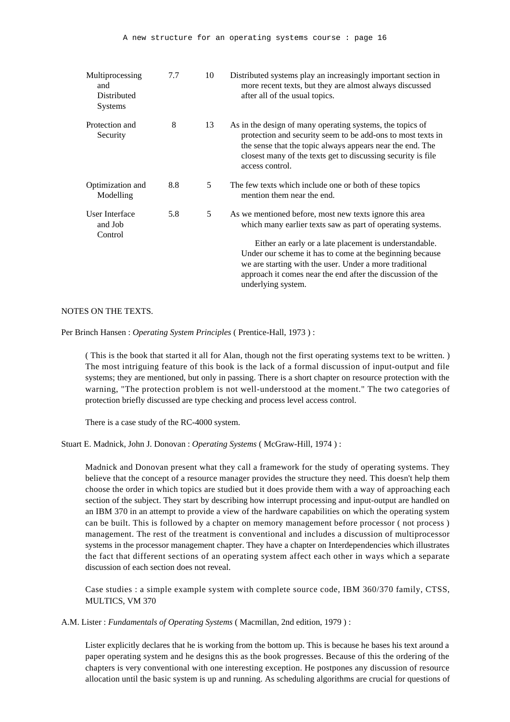| Multiprocessing<br>and<br>Distributed<br><b>Systems</b> | 7.7 | 10 | Distributed systems play an increasingly important section in<br>more recent texts, but they are almost always discussed<br>after all of the usual topics.                                                                                                                                                                                                                                 |
|---------------------------------------------------------|-----|----|--------------------------------------------------------------------------------------------------------------------------------------------------------------------------------------------------------------------------------------------------------------------------------------------------------------------------------------------------------------------------------------------|
| Protection and<br>Security                              | 8   | 13 | As in the design of many operating systems, the topics of<br>protection and security seem to be add-ons to most texts in<br>the sense that the topic always appears near the end. The<br>closest many of the texts get to discussing security is file<br>access control.                                                                                                                   |
| Optimization and<br>Modelling                           | 8.8 | 5  | The few texts which include one or both of these topics<br>mention them near the end.                                                                                                                                                                                                                                                                                                      |
| User Interface<br>and Job<br>Control                    | 5.8 | 5  | As we mentioned before, most new texts ignore this area<br>which many earlier texts saw as part of operating systems.<br>Either an early or a late placement is understandable.<br>Under our scheme it has to come at the beginning because<br>we are starting with the user. Under a more traditional<br>approach it comes near the end after the discussion of the<br>underlying system. |

#### NOTES ON THE TEXTS.

Per Brinch Hansen : *Operating System Principles* ( Prentice-Hall, 1973 ) :

( This is the book that started it all for Alan, though not the first operating systems text to be written. ) The most intriguing feature of this book is the lack of a formal discussion of input-output and file systems; they are mentioned, but only in passing. There is a short chapter on resource protection with the warning, "The protection problem is not well-understood at the moment." The two categories of protection briefly discussed are type checking and process level access control.

There is a case study of the RC-4000 system.

Stuart E. Madnick, John J. Donovan : *Operating Systems* ( McGraw-Hill, 1974 ) :

Madnick and Donovan present what they call a framework for the study of operating systems. They believe that the concept of a resource manager provides the structure they need. This doesn't help them choose the order in which topics are studied but it does provide them with a way of approaching each section of the subject. They start by describing how interrupt processing and input-output are handled on an IBM 370 in an attempt to provide a view of the hardware capabilities on which the operating system can be built. This is followed by a chapter on memory management before processor ( not process ) management. The rest of the treatment is conventional and includes a discussion of multiprocessor systems in the processor management chapter. They have a chapter on Interdependencies which illustrates the fact that different sections of an operating system affect each other in ways which a separate discussion of each section does not reveal.

Case studies : a simple example system with complete source code, IBM 360/370 family, CTSS, MULTICS, VM 370

A.M. Lister : *Fundamentals of Operating Systems* ( Macmillan, 2nd edition, 1979 ) :

Lister explicitly declares that he is working from the bottom up. This is because he bases his text around a paper operating system and he designs this as the book progresses. Because of this the ordering of the chapters is very conventional with one interesting exception. He postpones any discussion of resource allocation until the basic system is up and running. As scheduling algorithms are crucial for questions of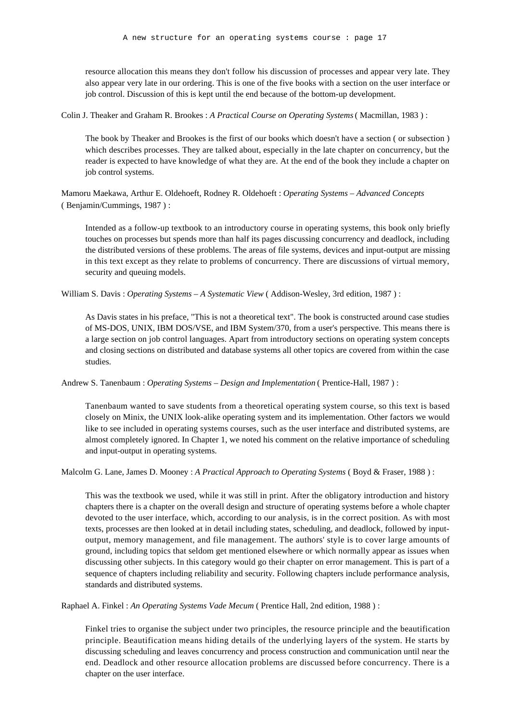resource allocation this means they don't follow his discussion of processes and appear very late. They also appear very late in our ordering. This is one of the five books with a section on the user interface or job control. Discussion of this is kept until the end because of the bottom-up development.

Colin J. Theaker and Graham R. Brookes : *A Practical Course on Operating Systems* ( Macmillan, 1983 ) :

The book by Theaker and Brookes is the first of our books which doesn't have a section ( or subsection ) which describes processes. They are talked about, especially in the late chapter on concurrency, but the reader is expected to have knowledge of what they are. At the end of the book they include a chapter on job control systems.

Mamoru Maekawa, Arthur E. Oldehoeft, Rodney R. Oldehoeft : *Operating Systems – Advanced Concepts* ( Benjamin/Cummings, 1987 ) :

Intended as a follow-up textbook to an introductory course in operating systems, this book only briefly touches on processes but spends more than half its pages discussing concurrency and deadlock, including the distributed versions of these problems. The areas of file systems, devices and input-output are missing in this text except as they relate to problems of concurrency. There are discussions of virtual memory, security and queuing models.

William S. Davis : *Operating Systems – A Systematic View* (Addison-Wesley, 3rd edition, 1987) :

As Davis states in his preface, "This is not a theoretical text". The book is constructed around case studies of MS-DOS, UNIX, IBM DOS/VSE, and IBM System/370, from a user's perspective. This means there is a large section on job control languages. Apart from introductory sections on operating system concepts and closing sections on distributed and database systems all other topics are covered from within the case studies.

Andrew S. Tanenbaum : *Operating Systems – Design and Implementation* ( Prentice-Hall, 1987 ) :

Tanenbaum wanted to save students from a theoretical operating system course, so this text is based closely on Minix, the UNIX look-alike operating system and its implementation. Other factors we would like to see included in operating systems courses, such as the user interface and distributed systems, are almost completely ignored. In Chapter 1, we noted his comment on the relative importance of scheduling and input-output in operating systems.

Malcolm G. Lane, James D. Mooney : *A Practical Approach to Operating Systems* ( Boyd & Fraser, 1988 ) :

This was the textbook we used, while it was still in print. After the obligatory introduction and history chapters there is a chapter on the overall design and structure of operating systems before a whole chapter devoted to the user interface, which, according to our analysis, is in the correct position. As with most texts, processes are then looked at in detail including states, scheduling, and deadlock, followed by inputoutput, memory management, and file management. The authors' style is to cover large amounts of ground, including topics that seldom get mentioned elsewhere or which normally appear as issues when discussing other subjects. In this category would go their chapter on error management. This is part of a sequence of chapters including reliability and security. Following chapters include performance analysis, standards and distributed systems.

Raphael A. Finkel : *An Operating Systems Vade Mecum* ( Prentice Hall, 2nd edition, 1988 ) :

Finkel tries to organise the subject under two principles, the resource principle and the beautification principle. Beautification means hiding details of the underlying layers of the system. He starts by discussing scheduling and leaves concurrency and process construction and communication until near the end. Deadlock and other resource allocation problems are discussed before concurrency. There is a chapter on the user interface.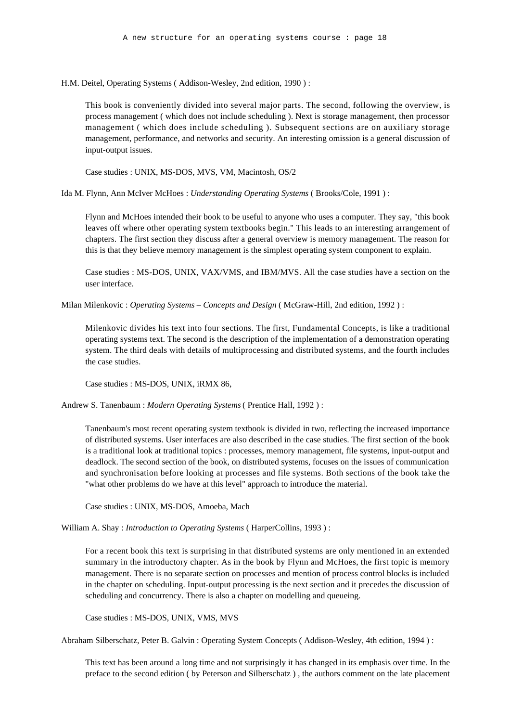H.M. Deitel, Operating Systems ( Addison-Wesley, 2nd edition, 1990 ) :

This book is conveniently divided into several major parts. The second, following the overview, is process management ( which does not include scheduling ). Next is storage management, then processor management ( which does include scheduling ). Subsequent sections are on auxiliary storage management, performance, and networks and security. An interesting omission is a general discussion of input-output issues.

Case studies : UNIX, MS-DOS, MVS, VM, Macintosh, OS/2

Ida M. Flynn, Ann McIver McHoes : *Understanding Operating Systems* ( Brooks/Cole, 1991 ) :

Flynn and McHoes intended their book to be useful to anyone who uses a computer. They say, "this book leaves off where other operating system textbooks begin." This leads to an interesting arrangement of chapters. The first section they discuss after a general overview is memory management. The reason for this is that they believe memory management is the simplest operating system component to explain.

Case studies : MS-DOS, UNIX, VAX/VMS, and IBM/MVS. All the case studies have a section on the user interface.

Milan Milenkovic : *Operating Systems – Concepts and Design* ( McGraw-Hill, 2nd edition, 1992 ) :

Milenkovic divides his text into four sections. The first, Fundamental Concepts, is like a traditional operating systems text. The second is the description of the implementation of a demonstration operating system. The third deals with details of multiprocessing and distributed systems, and the fourth includes the case studies.

Case studies : MS-DOS, UNIX, iRMX 86,

Andrew S. Tanenbaum : *Modern Operating Systems* ( Prentice Hall, 1992 ) :

Tanenbaum's most recent operating system textbook is divided in two, reflecting the increased importance of distributed systems. User interfaces are also described in the case studies. The first section of the book is a traditional look at traditional topics : processes, memory management, file systems, input-output and deadlock. The second section of the book, on distributed systems, focuses on the issues of communication and synchronisation before looking at processes and file systems. Both sections of the book take the "what other problems do we have at this level" approach to introduce the material.

Case studies : UNIX, MS-DOS, Amoeba, Mach

William A. Shay : *Introduction to Operating Systems* ( HarperCollins, 1993 ) :

For a recent book this text is surprising in that distributed systems are only mentioned in an extended summary in the introductory chapter. As in the book by Flynn and McHoes, the first topic is memory management. There is no separate section on processes and mention of process control blocks is included in the chapter on scheduling. Input-output processing is the next section and it precedes the discussion of scheduling and concurrency. There is also a chapter on modelling and queueing.

Case studies : MS-DOS, UNIX, VMS, MVS

Abraham Silberschatz, Peter B. Galvin : Operating System Concepts ( Addison-Wesley, 4th edition, 1994 ) :

This text has been around a long time and not surprisingly it has changed in its emphasis over time. In the preface to the second edition ( by Peterson and Silberschatz ) , the authors comment on the late placement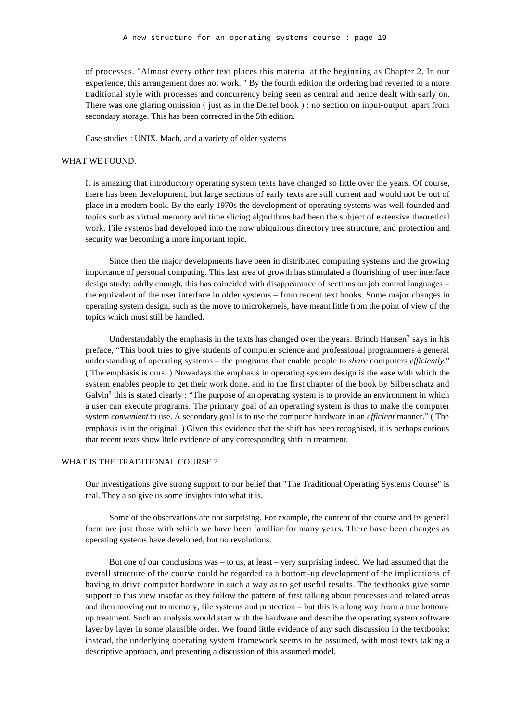of processes. "Almost every other text places this material at the beginning as Chapter 2. In our experience, this arrangement does not work. " By the fourth edition the ordering had reverted to a more traditional style with processes and concurrency being seen as central and hence dealt with early on. There was one glaring omission ( just as in the Deitel book ) : no section on input-output, apart from secondary storage. This has been corrected in the 5th edition.

Case studies : UNIX, Mach, and a variety of older systems

#### WHAT WE FOUND.

It is amazing that introductory operating system texts have changed so little over the years. Of course, there has been development, but large sections of early texts are still current and would not be out of place in a modern book. By the early 1970s the development of operating systems was well founded and topics such as virtual memory and time slicing algorithms had been the subject of extensive theoretical work. File systems had developed into the now ubiquitous directory tree structure, and protection and security was becoming a more important topic.

Since then the major developments have been in distributed computing systems and the growing importance of personal computing. This last area of growth has stimulated a flourishing of user interface design study; oddly enough, this has coincided with disappearance of sections on job control languages – the equivalent of the user interface in older systems – from recent text books. Some major changes in operating system design, such as the move to microkernels, have meant little from the point of view of the topics which must still be handled.

Understandably the emphasis in the texts has changed over the years. Brinch Hansen<sup>7</sup> says in his preface, "This book tries to give students of computer science and professional programmers a general understanding of operating systems – the programs that enable people to *share* computers *efficiently*." ( The emphasis is ours. ) Nowadays the emphasis in operating system design is the ease with which the system enables people to get their work done, and in the first chapter of the book by Silberschatz and Galvin<sup>8</sup> this is stated clearly : "The purpose of an operating system is to provide an environment in which a user can execute programs. The primary goal of an operating system is thus to make the computer system *convenient* to use. A secondary goal is to use the computer hardware in an *efficient* manner." ( The emphasis is in the original. ) Given this evidence that the shift has been recognised, it is perhaps curious that recent texts show little evidence of any corresponding shift in treatment.

#### WHAT IS THE TRADITIONAL COURSE ?

Our investigations give strong support to our belief that "The Traditional Operating Systems Course" is real. They also give us some insights into what it is.

Some of the observations are not surprising. For example, the content of the course and its general form are just those with which we have been familiar for many years. There have been changes as operating systems have developed, but no revolutions.

But one of our conclusions was – to us, at least – very surprising indeed. We had assumed that the overall structure of the course could be regarded as a bottom-up development of the implications of having to drive computer hardware in such a way as to get useful results. The textbooks give some support to this view insofar as they follow the pattern of first talking about processes and related areas and then moving out to memory, file systems and protection – but this is a long way from a true bottomup treatment. Such an analysis would start with the hardware and describe the operating system software layer by layer in some plausible order. We found little evidence of any such discussion in the textbooks; instead, the underlying operating system framework seems to be assumed, with most texts taking a descriptive approach, and presenting a discussion of this assumed model.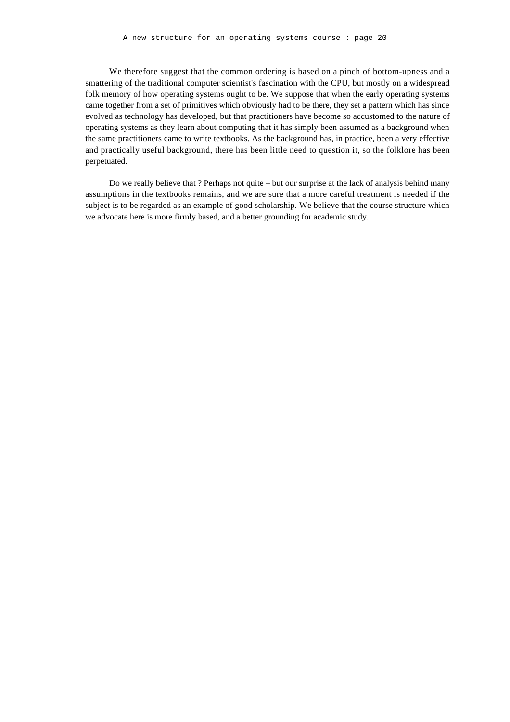We therefore suggest that the common ordering is based on a pinch of bottom-upness and a smattering of the traditional computer scientist's fascination with the CPU, but mostly on a widespread folk memory of how operating systems ought to be. We suppose that when the early operating systems came together from a set of primitives which obviously had to be there, they set a pattern which has since evolved as technology has developed, but that practitioners have become so accustomed to the nature of operating systems as they learn about computing that it has simply been assumed as a background when the same practitioners came to write textbooks. As the background has, in practice, been a very effective and practically useful background, there has been little need to question it, so the folklore has been perpetuated.

Do we really believe that ? Perhaps not quite – but our surprise at the lack of analysis behind many assumptions in the textbooks remains, and we are sure that a more careful treatment is needed if the subject is to be regarded as an example of good scholarship. We believe that the course structure which we advocate here is more firmly based, and a better grounding for academic study.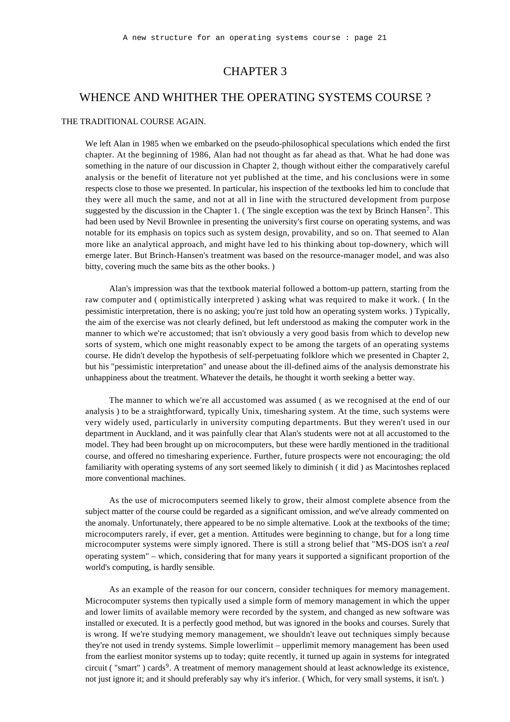## CHAPTER 3

## WHENCE AND WHITHER THE OPERATING SYSTEMS COURSE ?

#### THE TRADITIONAL COURSE AGAIN.

We left Alan in 1985 when we embarked on the pseudo-philosophical speculations which ended the first chapter. At the beginning of 1986, Alan had not thought as far ahead as that. What he had done was something in the nature of our discussion in Chapter 2, though without either the comparatively careful analysis or the benefit of literature not yet published at the time, and his conclusions were in some respects close to those we presented. In particular, his inspection of the textbooks led him to conclude that they were all much the same, and not at all in line with the structured development from purpose suggested by the discussion in the Chapter 1. (The single exception was the text by Brinch Hansen<sup>7</sup>. This had been used by Nevil Brownlee in presenting the university's first course on operating systems, and was notable for its emphasis on topics such as system design, provability, and so on. That seemed to Alan more like an analytical approach, and might have led to his thinking about top-downery, which will emerge later. But Brinch-Hansen's treatment was based on the resource-manager model, and was also bitty, covering much the same bits as the other books. )

Alan's impression was that the textbook material followed a bottom-up pattern, starting from the raw computer and ( optimistically interpreted ) asking what was required to make it work. ( In the pessimistic interpretation, there is no asking; you're just told how an operating system works. ) Typically, the aim of the exercise was not clearly defined, but left understood as making the computer work in the manner to which we're accustomed; that isn't obviously a very good basis from which to develop new sorts of system, which one might reasonably expect to be among the targets of an operating systems course. He didn't develop the hypothesis of self-perpetuating folklore which we presented in Chapter 2, but his "pessimistic interpretation" and unease about the ill-defined aims of the analysis demonstrate his unhappiness about the treatment. Whatever the details, he thought it worth seeking a better way.

The manner to which we're all accustomed was assumed ( as we recognised at the end of our analysis ) to be a straightforward, typically Unix, timesharing system. At the time, such systems were very widely used, particularly in university computing departments. But they weren't used in our department in Auckland, and it was painfully clear that Alan's students were not at all accustomed to the model. They had been brought up on microcomputers, but these were hardly mentioned in the traditional course, and offered no timesharing experience. Further, future prospects were not encouraging; the old familiarity with operating systems of any sort seemed likely to diminish ( it did ) as Macintoshes replaced more conventional machines.

As the use of microcomputers seemed likely to grow, their almost complete absence from the subject matter of the course could be regarded as a significant omission, and we've already commented on the anomaly. Unfortunately, there appeared to be no simple alternative. Look at the textbooks of the time; microcomputers rarely, if ever, get a mention. Attitudes were beginning to change, but for a long time microcomputer systems were simply ignored. There is still a strong belief that "MS-DOS isn't a *real* operating system" – which, considering that for many years it supported a significant proportion of the world's computing, is hardly sensible.

As an example of the reason for our concern, consider techniques for memory management. Microcomputer systems then typically used a simple form of memory management in which the upper and lower limits of available memory were recorded by the system, and changed as new software was installed or executed. It is a perfectly good method, but was ignored in the books and courses. Surely that is wrong. If we're studying memory management, we shouldn't leave out techniques simply because they're not used in trendy systems. Simple lowerlimit – upperlimit memory management has been used from the earliest monitor systems up to today; quite recently, it turned up again in systems for integrated circuit ("smart") cards<sup>9</sup>. A treatment of memory management should at least acknowledge its existence, not just ignore it; and it should preferably say why it's inferior. ( Which, for very small systems, it isn't. )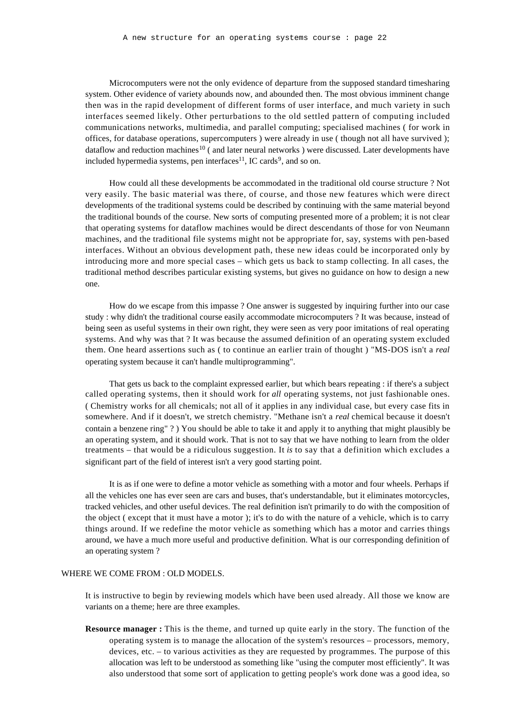Microcomputers were not the only evidence of departure from the supposed standard timesharing system. Other evidence of variety abounds now, and abounded then. The most obvious imminent change then was in the rapid development of different forms of user interface, and much variety in such interfaces seemed likely. Other perturbations to the old settled pattern of computing included communications networks, multimedia, and parallel computing; specialised machines ( for work in offices, for database operations, supercomputers ) were already in use ( though not all have survived ); dataflow and reduction machines<sup>10</sup> ( and later neural networks ) were discussed. Later developments have included hypermedia systems, pen interfaces<sup>11</sup>, IC cards<sup>9</sup>, and so on.

How could all these developments be accommodated in the traditional old course structure ? Not very easily. The basic material was there, of course, and those new features which were direct developments of the traditional systems could be described by continuing with the same material beyond the traditional bounds of the course. New sorts of computing presented more of a problem; it is not clear that operating systems for dataflow machines would be direct descendants of those for von Neumann machines, and the traditional file systems might not be appropriate for, say, systems with pen-based interfaces. Without an obvious development path, these new ideas could be incorporated only by introducing more and more special cases – which gets us back to stamp collecting. In all cases, the traditional method describes particular existing systems, but gives no guidance on how to design a new one.

How do we escape from this impasse ? One answer is suggested by inquiring further into our case study : why didn't the traditional course easily accommodate microcomputers ? It was because, instead of being seen as useful systems in their own right, they were seen as very poor imitations of real operating systems. And why was that ? It was because the assumed definition of an operating system excluded them. One heard assertions such as ( to continue an earlier train of thought ) "MS-DOS isn't a *real* operating system because it can't handle multiprogramming".

That gets us back to the complaint expressed earlier, but which bears repeating : if there's a subject called operating systems, then it should work for *all* operating systems, not just fashionable ones. ( Chemistry works for all chemicals; not all of it applies in any individual case, but every case fits in somewhere. And if it doesn't, we stretch chemistry. "Methane isn't a *real* chemical because it doesn't contain a benzene ring" ? ) You should be able to take it and apply it to anything that might plausibly be an operating system, and it should work. That is not to say that we have nothing to learn from the older treatments – that would be a ridiculous suggestion. It *is* to say that a definition which excludes a significant part of the field of interest isn't a very good starting point.

It is as if one were to define a motor vehicle as something with a motor and four wheels. Perhaps if all the vehicles one has ever seen are cars and buses, that's understandable, but it eliminates motorcycles, tracked vehicles, and other useful devices. The real definition isn't primarily to do with the composition of the object ( except that it must have a motor ); it's to do with the nature of a vehicle, which is to carry things around. If we redefine the motor vehicle as something which has a motor and carries things around, we have a much more useful and productive definition. What is our corresponding definition of an operating system ?

#### WHERE WE COME FROM : OLD MODELS.

It is instructive to begin by reviewing models which have been used already. All those we know are variants on a theme; here are three examples.

**Resource manager :** This is the theme, and turned up quite early in the story. The function of the operating system is to manage the allocation of the system's resources – processors, memory, devices, etc. – to various activities as they are requested by programmes. The purpose of this allocation was left to be understood as something like "using the computer most efficiently". It was also understood that some sort of application to getting people's work done was a good idea, so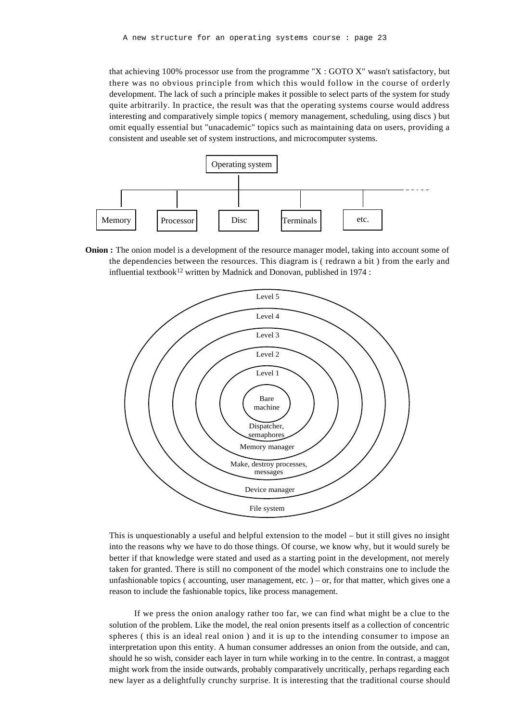that achieving 100% processor use from the programme "X : GOTO X" wasn't satisfactory, but there was no obvious principle from which this would follow in the course of orderly development. The lack of such a principle makes it possible to select parts of the system for study quite arbitrarily. In practice, the result was that the operating systems course would address interesting and comparatively simple topics ( memory management, scheduling, using discs ) but omit equally essential but "unacademic" topics such as maintaining data on users, providing a consistent and useable set of system instructions, and microcomputer systems.



**Onion :** The onion model is a development of the resource manager model, taking into account some of the dependencies between the resources. This diagram is ( redrawn a bit ) from the early and influential textbook<sup>12</sup> written by Madnick and Donovan, published in 1974 :



This is unquestionably a useful and helpful extension to the model – but it still gives no insight into the reasons why we have to do those things. Of course, we know why, but it would surely be better if that knowledge were stated and used as a starting point in the development, not merely taken for granted. There is still no component of the model which constrains one to include the unfashionable topics ( accounting, user management, etc. ) – or, for that matter, which gives one a reason to include the fashionable topics, like process management.

If we press the onion analogy rather too far, we can find what might be a clue to the solution of the problem. Like the model, the real onion presents itself as a collection of concentric spheres ( this is an ideal real onion ) and it is up to the intending consumer to impose an interpretation upon this entity. A human consumer addresses an onion from the outside, and can, should he so wish, consider each layer in turn while working in to the centre. In contrast, a maggot might work from the inside outwards, probably comparatively uncritically, perhaps regarding each new layer as a delightfully crunchy surprise. It is interesting that the traditional course should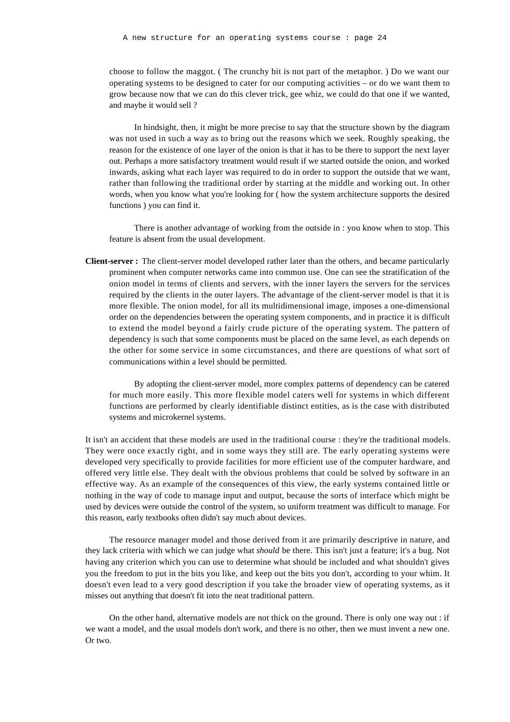choose to follow the maggot. ( The crunchy bit is not part of the metaphor. ) Do we want our operating systems to be designed to cater for our computing activities – or do we want them to grow because now that we can do this clever trick, gee whiz, we could do that one if we wanted, and maybe it would sell ?

In hindsight, then, it might be more precise to say that the structure shown by the diagram was not used in such a way as to bring out the reasons which we seek. Roughly speaking, the reason for the existence of one layer of the onion is that it has to be there to support the next layer out. Perhaps a more satisfactory treatment would result if we started outside the onion, and worked inwards, asking what each layer was required to do in order to support the outside that we want, rather than following the traditional order by starting at the middle and working out. In other words, when you know what you're looking for ( how the system architecture supports the desired functions ) you can find it.

There is another advantage of working from the outside in : you know when to stop. This feature is absent from the usual development.

**Client-server :** The client-server model developed rather later than the others, and became particularly prominent when computer networks came into common use. One can see the stratification of the onion model in terms of clients and servers, with the inner layers the servers for the services required by the clients in the outer layers. The advantage of the client-server model is that it is more flexible. The onion model, for all its multidimensional image, imposes a one-dimensional order on the dependencies between the operating system components, and in practice it is difficult to extend the model beyond a fairly crude picture of the operating system. The pattern of dependency is such that some components must be placed on the same level, as each depends on the other for some service in some circumstances, and there are questions of what sort of communications within a level should be permitted.

By adopting the client-server model, more complex patterns of dependency can be catered for much more easily. This more flexible model caters well for systems in which different functions are performed by clearly identifiable distinct entities, as is the case with distributed systems and microkernel systems.

It isn't an accident that these models are used in the traditional course : they're the traditional models. They were once exactly right, and in some ways they still are. The early operating systems were developed very specifically to provide facilities for more efficient use of the computer hardware, and offered very little else. They dealt with the obvious problems that could be solved by software in an effective way. As an example of the consequences of this view, the early systems contained little or nothing in the way of code to manage input and output, because the sorts of interface which might be used by devices were outside the control of the system, so uniform treatment was difficult to manage. For this reason, early textbooks often didn't say much about devices.

The resource manager model and those derived from it are primarily descriptive in nature, and they lack criteria with which we can judge what *should* be there. This isn't just a feature; it's a bug. Not having any criterion which you can use to determine what should be included and what shouldn't gives you the freedom to put in the bits you like, and keep out the bits you don't, according to your whim. It doesn't even lead to a very good description if you take the broader view of operating systems, as it misses out anything that doesn't fit into the neat traditional pattern.

On the other hand, alternative models are not thick on the ground. There is only one way out : if we want a model, and the usual models don't work, and there is no other, then we must invent a new one. Or two.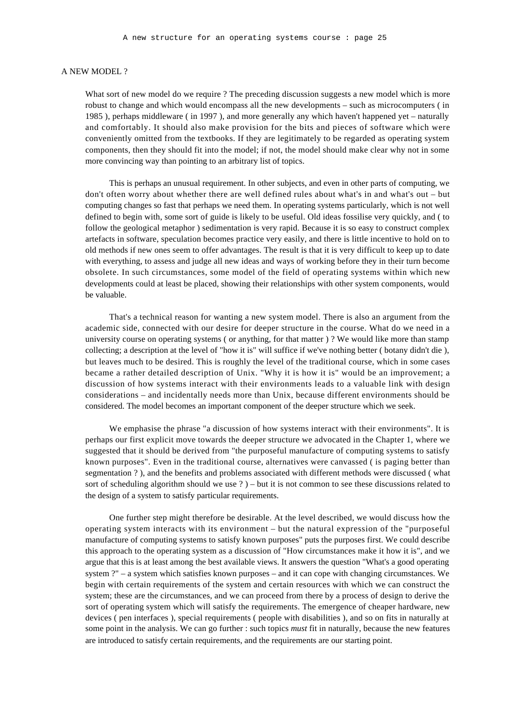#### A NEW MODEL ?

What sort of new model do we require ? The preceding discussion suggests a new model which is more robust to change and which would encompass all the new developments – such as microcomputers ( in 1985 ), perhaps middleware ( in 1997 ), and more generally any which haven't happened yet – naturally and comfortably. It should also make provision for the bits and pieces of software which were conveniently omitted from the textbooks. If they are legitimately to be regarded as operating system components, then they should fit into the model; if not, the model should make clear why not in some more convincing way than pointing to an arbitrary list of topics.

This is perhaps an unusual requirement. In other subjects, and even in other parts of computing, we don't often worry about whether there are well defined rules about what's in and what's out – but computing changes so fast that perhaps we need them. In operating systems particularly, which is not well defined to begin with, some sort of guide is likely to be useful. Old ideas fossilise very quickly, and ( to follow the geological metaphor ) sedimentation is very rapid. Because it is so easy to construct complex artefacts in software, speculation becomes practice very easily, and there is little incentive to hold on to old methods if new ones seem to offer advantages. The result is that it is very difficult to keep up to date with everything, to assess and judge all new ideas and ways of working before they in their turn become obsolete. In such circumstances, some model of the field of operating systems within which new developments could at least be placed, showing their relationships with other system components, would be valuable.

That's a technical reason for wanting a new system model. There is also an argument from the academic side, connected with our desire for deeper structure in the course. What do we need in a university course on operating systems ( or anything, for that matter ) ? We would like more than stamp collecting; a description at the level of "how it is" will suffice if we've nothing better ( botany didn't die ), but leaves much to be desired. This is roughly the level of the traditional course, which in some cases became a rather detailed description of Unix. "Why it is how it is" would be an improvement; a discussion of how systems interact with their environments leads to a valuable link with design considerations – and incidentally needs more than Unix, because different environments should be considered. The model becomes an important component of the deeper structure which we seek.

We emphasise the phrase "a discussion of how systems interact with their environments". It is perhaps our first explicit move towards the deeper structure we advocated in the Chapter 1, where we suggested that it should be derived from "the purposeful manufacture of computing systems to satisfy known purposes". Even in the traditional course, alternatives were canvassed ( is paging better than segmentation ? ), and the benefits and problems associated with different methods were discussed ( what sort of scheduling algorithm should we use ? ) – but it is not common to see these discussions related to the design of a system to satisfy particular requirements.

One further step might therefore be desirable. At the level described, we would discuss how the operating system interacts with its environment – but the natural expression of the "purposeful manufacture of computing systems to satisfy known purposes" puts the purposes first. We could describe this approach to the operating system as a discussion of "How circumstances make it how it is", and we argue that this is at least among the best available views. It answers the question "What's a good operating system ?" – a system which satisfies known purposes – and it can cope with changing circumstances. We begin with certain requirements of the system and certain resources with which we can construct the system; these are the circumstances, and we can proceed from there by a process of design to derive the sort of operating system which will satisfy the requirements. The emergence of cheaper hardware, new devices ( pen interfaces ), special requirements ( people with disabilities ), and so on fits in naturally at some point in the analysis. We can go further : such topics *must* fit in naturally, because the new features are introduced to satisfy certain requirements, and the requirements are our starting point.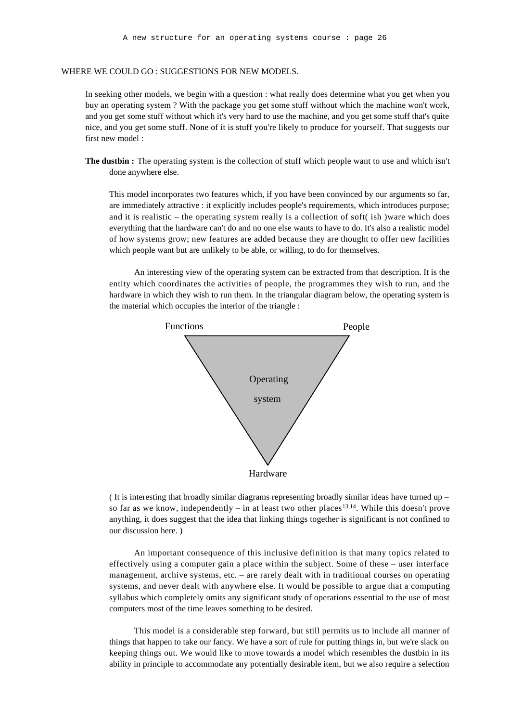#### WHERE WE COULD GO : SUGGESTIONS FOR NEW MODELS.

In seeking other models, we begin with a question : what really does determine what you get when you buy an operating system ? With the package you get some stuff without which the machine won't work, and you get some stuff without which it's very hard to use the machine, and you get some stuff that's quite nice, and you get some stuff. None of it is stuff you're likely to produce for yourself. That suggests our first new model :

**The dustbin :** The operating system is the collection of stuff which people want to use and which isn't done anywhere else.

This model incorporates two features which, if you have been convinced by our arguments so far, are immediately attractive : it explicitly includes people's requirements, which introduces purpose; and it is realistic – the operating system really is a collection of soft( ish )ware which does everything that the hardware can't do and no one else wants to have to do. It's also a realistic model of how systems grow; new features are added because they are thought to offer new facilities which people want but are unlikely to be able, or willing, to do for themselves.

An interesting view of the operating system can be extracted from that description. It is the entity which coordinates the activities of people, the programmes they wish to run, and the hardware in which they wish to run them. In the triangular diagram below, the operating system is the material which occupies the interior of the triangle :



( It is interesting that broadly similar diagrams representing broadly similar ideas have turned up – so far as we know, independently – in at least two other places<sup>13,14</sup>. While this doesn't prove anything, it does suggest that the idea that linking things together is significant is not confined to our discussion here. )

An important consequence of this inclusive definition is that many topics related to effectively using a computer gain a place within the subject. Some of these – user interface management, archive systems, etc. – are rarely dealt with in traditional courses on operating systems, and never dealt with anywhere else. It would be possible to argue that a computing syllabus which completely omits any significant study of operations essential to the use of most computers most of the time leaves something to be desired.

This model is a considerable step forward, but still permits us to include all manner of things that happen to take our fancy. We have a sort of rule for putting things in, but we're slack on keeping things out. We would like to move towards a model which resembles the dustbin in its ability in principle to accommodate any potentially desirable item, but we also require a selection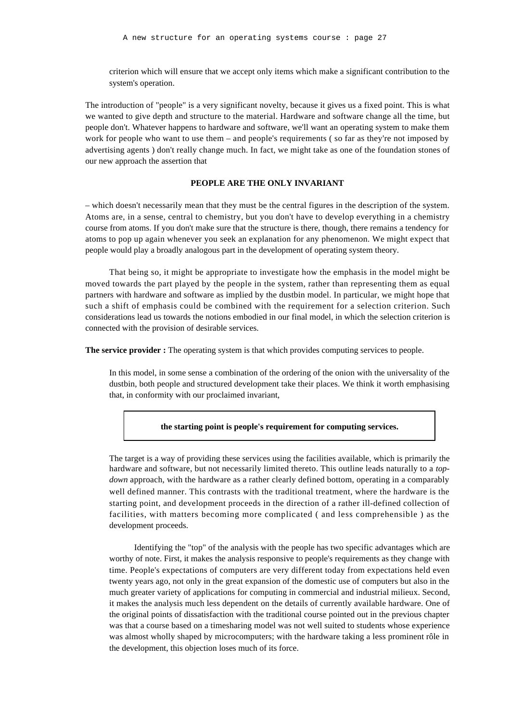criterion which will ensure that we accept only items which make a significant contribution to the system's operation.

The introduction of "people" is a very significant novelty, because it gives us a fixed point. This is what we wanted to give depth and structure to the material. Hardware and software change all the time, but people don't. Whatever happens to hardware and software, we'll want an operating system to make them work for people who want to use them – and people's requirements (so far as they're not imposed by advertising agents ) don't really change much. In fact, we might take as one of the foundation stones of our new approach the assertion that

#### **PEOPLE ARE THE ONLY INVARIANT**

– which doesn't necessarily mean that they must be the central figures in the description of the system. Atoms are, in a sense, central to chemistry, but you don't have to develop everything in a chemistry course from atoms. If you don't make sure that the structure is there, though, there remains a tendency for atoms to pop up again whenever you seek an explanation for any phenomenon. We might expect that people would play a broadly analogous part in the development of operating system theory.

That being so, it might be appropriate to investigate how the emphasis in the model might be moved towards the part played by the people in the system, rather than representing them as equal partners with hardware and software as implied by the dustbin model. In particular, we might hope that such a shift of emphasis could be combined with the requirement for a selection criterion. Such considerations lead us towards the notions embodied in our final model, in which the selection criterion is connected with the provision of desirable services.

**The service provider :** The operating system is that which provides computing services to people.

In this model, in some sense a combination of the ordering of the onion with the universality of the dustbin, both people and structured development take their places. We think it worth emphasising that, in conformity with our proclaimed invariant,

**the starting point is people's requirement for computing services.**

The target is a way of providing these services using the facilities available, which is primarily the hardware and software, but not necessarily limited thereto. This outline leads naturally to a *topdown* approach, with the hardware as a rather clearly defined bottom, operating in a comparably well defined manner. This contrasts with the traditional treatment, where the hardware is the starting point, and development proceeds in the direction of a rather ill-defined collection of facilities, with matters becoming more complicated ( and less comprehensible ) as the development proceeds.

Identifying the "top" of the analysis with the people has two specific advantages which are worthy of note. First, it makes the analysis responsive to people's requirements as they change with time. People's expectations of computers are very different today from expectations held even twenty years ago, not only in the great expansion of the domestic use of computers but also in the much greater variety of applications for computing in commercial and industrial milieux. Second, it makes the analysis much less dependent on the details of currently available hardware. One of the original points of dissatisfaction with the traditional course pointed out in the previous chapter was that a course based on a timesharing model was not well suited to students whose experience was almost wholly shaped by microcomputers; with the hardware taking a less prominent rôle in the development, this objection loses much of its force.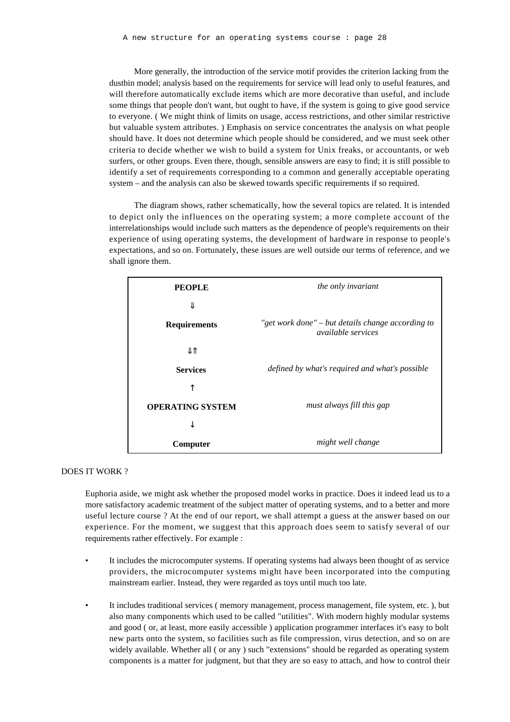More generally, the introduction of the service motif provides the criterion lacking from the dustbin model; analysis based on the requirements for service will lead only to useful features, and will therefore automatically exclude items which are more decorative than useful, and include some things that people don't want, but ought to have, if the system is going to give good service to everyone. ( We might think of limits on usage, access restrictions, and other similar restrictive but valuable system attributes. ) Emphasis on service concentrates the analysis on what people should have. It does not determine which people should be considered, and we must seek other criteria to decide whether we wish to build a system for Unix freaks, or accountants, or web surfers, or other groups. Even there, though, sensible answers are easy to find; it is still possible to identify a set of requirements corresponding to a common and generally acceptable operating system – and the analysis can also be skewed towards specific requirements if so required.

The diagram shows, rather schematically, how the several topics are related. It is intended to depict only the influences on the operating system; a more complete account of the interrelationships would include such matters as the dependence of people's requirements on their experience of using operating systems, the development of hardware in response to people's expectations, and so on. Fortunately, these issues are well outside our terms of reference, and we shall ignore them.

| <b>PEOPLE</b>           | the only invariant                                                             |
|-------------------------|--------------------------------------------------------------------------------|
| <b>Requirements</b>     | "get work done" – but details change according to<br><i>available services</i> |
| <b>Services</b>         | defined by what's required and what's possible                                 |
| <b>OPERATING SYSTEM</b> | must always fill this gap                                                      |
| Computer                | might well change                                                              |

#### DOES IT WORK ?

Euphoria aside, we might ask whether the proposed model works in practice. Does it indeed lead us to a more satisfactory academic treatment of the subject matter of operating systems, and to a better and more useful lecture course ? At the end of our report, we shall attempt a guess at the answer based on our experience. For the moment, we suggest that this approach does seem to satisfy several of our requirements rather effectively. For example :

- It includes the microcomputer systems. If operating systems had always been thought of as service providers, the microcomputer systems might have been incorporated into the computing mainstream earlier. Instead, they were regarded as toys until much too late.
- It includes traditional services (memory management, process management, file system, etc.), but also many components which used to be called "utilities". With modern highly modular systems and good ( or, at least, more easily accessible ) application programmer interfaces it's easy to bolt new parts onto the system, so facilities such as file compression, virus detection, and so on are widely available. Whether all ( or any ) such "extensions" should be regarded as operating system components is a matter for judgment, but that they are so easy to attach, and how to control their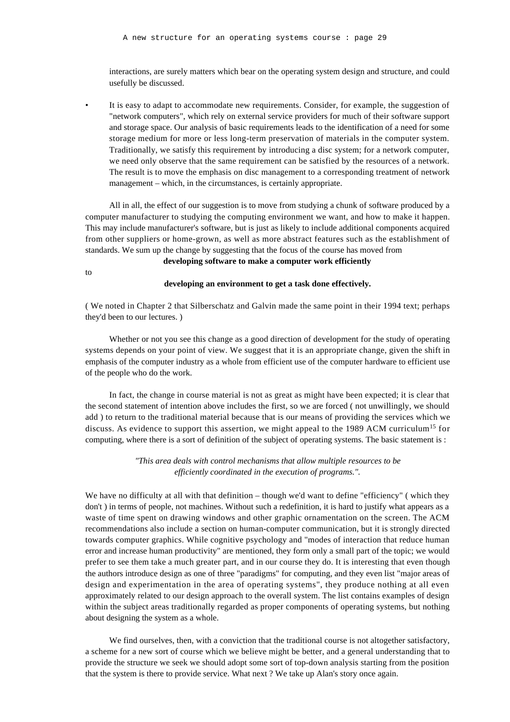interactions, are surely matters which bear on the operating system design and structure, and could usefully be discussed.

It is easy to adapt to accommodate new requirements. Consider, for example, the suggestion of "network computers", which rely on external service providers for much of their software support and storage space. Our analysis of basic requirements leads to the identification of a need for some storage medium for more or less long-term preservation of materials in the computer system. Traditionally, we satisfy this requirement by introducing a disc system; for a network computer, we need only observe that the same requirement can be satisfied by the resources of a network. The result is to move the emphasis on disc management to a corresponding treatment of network management – which, in the circumstances, is certainly appropriate.

All in all, the effect of our suggestion is to move from studying a chunk of software produced by a computer manufacturer to studying the computing environment we want, and how to make it happen. This may include manufacturer's software, but is just as likely to include additional components acquired from other suppliers or home-grown, as well as more abstract features such as the establishment of standards. We sum up the change by suggesting that the focus of the course has moved from

**developing software to make a computer work efficiently**

to

#### **developing an environment to get a task done effectively.**

( We noted in Chapter 2 that Silberschatz and Galvin made the same point in their 1994 text; perhaps they'd been to our lectures. )

Whether or not you see this change as a good direction of development for the study of operating systems depends on your point of view. We suggest that it is an appropriate change, given the shift in emphasis of the computer industry as a whole from efficient use of the computer hardware to efficient use of the people who do the work.

In fact, the change in course material is not as great as might have been expected; it is clear that the second statement of intention above includes the first, so we are forced ( not unwillingly, we should add ) to return to the traditional material because that is our means of providing the services which we discuss. As evidence to support this assertion, we might appeal to the 1989 ACM curriculum<sup>15</sup> for computing, where there is a sort of definition of the subject of operating systems. The basic statement is :

> *"This area deals with control mechanisms that allow multiple resources to be efficiently coordinated in the execution of programs.".*

We have no difficulty at all with that definition – though we'd want to define "efficiency" (which they don't ) in terms of people, not machines. Without such a redefinition, it is hard to justify what appears as a waste of time spent on drawing windows and other graphic ornamentation on the screen. The ACM recommendations also include a section on human-computer communication, but it is strongly directed towards computer graphics. While cognitive psychology and "modes of interaction that reduce human error and increase human productivity" are mentioned, they form only a small part of the topic; we would prefer to see them take a much greater part, and in our course they do. It is interesting that even though the authors introduce design as one of three "paradigms" for computing, and they even list "major areas of design and experimentation in the area of operating systems", they produce nothing at all even approximately related to our design approach to the overall system. The list contains examples of design within the subject areas traditionally regarded as proper components of operating systems, but nothing about designing the system as a whole.

We find ourselves, then, with a conviction that the traditional course is not altogether satisfactory, a scheme for a new sort of course which we believe might be better, and a general understanding that to provide the structure we seek we should adopt some sort of top-down analysis starting from the position that the system is there to provide service. What next ? We take up Alan's story once again.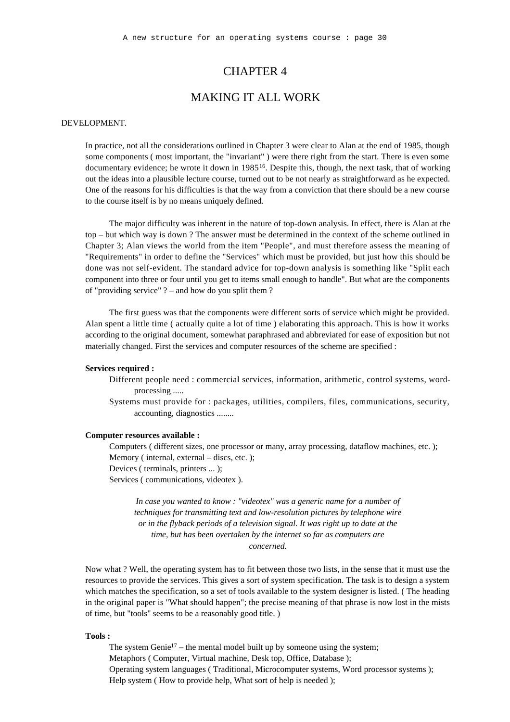## CHAPTER 4

## MAKING IT ALL WORK

#### DEVELOPMENT.

In practice, not all the considerations outlined in Chapter 3 were clear to Alan at the end of 1985, though some components ( most important, the "invariant" ) were there right from the start. There is even some documentary evidence; he wrote it down in 1985<sup>16</sup>. Despite this, though, the next task, that of working out the ideas into a plausible lecture course, turned out to be not nearly as straightforward as he expected. One of the reasons for his difficulties is that the way from a conviction that there should be a new course to the course itself is by no means uniquely defined.

The major difficulty was inherent in the nature of top-down analysis. In effect, there is Alan at the top – but which way is down ? The answer must be determined in the context of the scheme outlined in Chapter 3; Alan views the world from the item "People", and must therefore assess the meaning of "Requirements" in order to define the "Services" which must be provided, but just how this should be done was not self-evident. The standard advice for top-down analysis is something like "Split each component into three or four until you get to items small enough to handle". But what are the components of "providing service" ? – and how do you split them ?

The first guess was that the components were different sorts of service which might be provided. Alan spent a little time ( actually quite a lot of time ) elaborating this approach. This is how it works according to the original document, somewhat paraphrased and abbreviated for ease of exposition but not materially changed. First the services and computer resources of the scheme are specified :

#### **Services required :**

- Different people need : commercial services, information, arithmetic, control systems, wordprocessing .....
- Systems must provide for : packages, utilities, compilers, files, communications, security, accounting, diagnostics ........

#### **Computer resources available :**

Computers ( different sizes, one processor or many, array processing, dataflow machines, etc. ); Memory (internal, external – discs, etc.); Devices ( terminals, printers ... ); Services ( communications, videotex ).

*In case you wanted to know : "videotex" was a generic name for a number of techniques for transmitting text and low-resolution pictures by telephone wire or in the flyback periods of a television signal. It was right up to date at the time, but has been overtaken by the internet so far as computers are concerned.*

Now what ? Well, the operating system has to fit between those two lists, in the sense that it must use the resources to provide the services. This gives a sort of system specification. The task is to design a system which matches the specification, so a set of tools available to the system designer is listed. ( The heading in the original paper is "What should happen"; the precise meaning of that phrase is now lost in the mists of time, but "tools" seems to be a reasonably good title. )

#### **Tools :**

The system Genie<sup>17</sup> – the mental model built up by someone using the system; Metaphors ( Computer, Virtual machine, Desk top, Office, Database ); Operating system languages ( Traditional, Microcomputer systems, Word processor systems ); Help system (How to provide help, What sort of help is needed);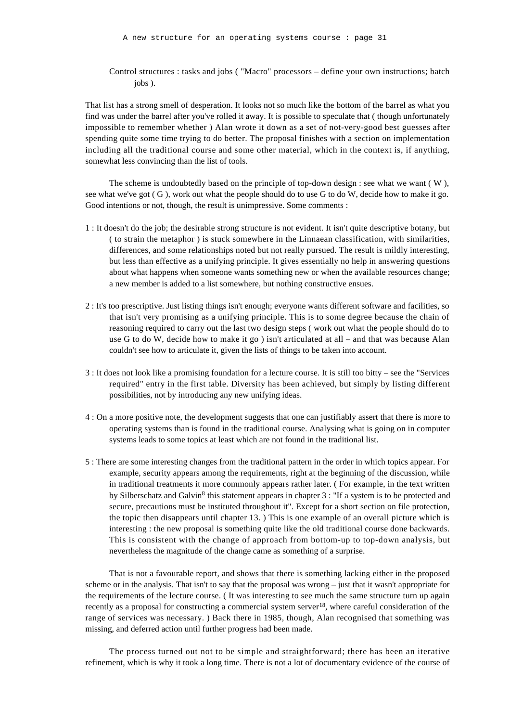Control structures : tasks and jobs ( "Macro" processors – define your own instructions; batch jobs ).

That list has a strong smell of desperation. It looks not so much like the bottom of the barrel as what you find was under the barrel after you've rolled it away. It is possible to speculate that ( though unfortunately impossible to remember whether ) Alan wrote it down as a set of not-very-good best guesses after spending quite some time trying to do better. The proposal finishes with a section on implementation including all the traditional course and some other material, which in the context is, if anything, somewhat less convincing than the list of tools.

The scheme is undoubtedly based on the principle of top-down design : see what we want  $(W)$ , see what we've got ( G ), work out what the people should do to use G to do W, decide how to make it go. Good intentions or not, though, the result is unimpressive. Some comments :

- 1 : It doesn't do the job; the desirable strong structure is not evident. It isn't quite descriptive botany, but ( to strain the metaphor ) is stuck somewhere in the Linnaean classification, with similarities, differences, and some relationships noted but not really pursued. The result is mildly interesting, but less than effective as a unifying principle. It gives essentially no help in answering questions about what happens when someone wants something new or when the available resources change; a new member is added to a list somewhere, but nothing constructive ensues.
- 2 : It's too prescriptive. Just listing things isn't enough; everyone wants different software and facilities, so that isn't very promising as a unifying principle. This is to some degree because the chain of reasoning required to carry out the last two design steps ( work out what the people should do to use G to do W, decide how to make it go ) isn't articulated at all – and that was because Alan couldn't see how to articulate it, given the lists of things to be taken into account.
- 3 : It does not look like a promising foundation for a lecture course. It is still too bitty see the "Services required" entry in the first table. Diversity has been achieved, but simply by listing different possibilities, not by introducing any new unifying ideas.
- 4 : On a more positive note, the development suggests that one can justifiably assert that there is more to operating systems than is found in the traditional course. Analysing what is going on in computer systems leads to some topics at least which are not found in the traditional list.
- 5 : There are some interesting changes from the traditional pattern in the order in which topics appear. For example, security appears among the requirements, right at the beginning of the discussion, while in traditional treatments it more commonly appears rather later. ( For example, in the text written by Silberschatz and Galvin<sup>8</sup> this statement appears in chapter 3 : "If a system is to be protected and secure, precautions must be instituted throughout it". Except for a short section on file protection, the topic then disappears until chapter 13. ) This is one example of an overall picture which is interesting : the new proposal is something quite like the old traditional course done backwards. This is consistent with the change of approach from bottom-up to top-down analysis, but nevertheless the magnitude of the change came as something of a surprise.

That is not a favourable report, and shows that there is something lacking either in the proposed scheme or in the analysis. That isn't to say that the proposal was wrong – just that it wasn't appropriate for the requirements of the lecture course. ( It was interesting to see much the same structure turn up again recently as a proposal for constructing a commercial system server<sup>18</sup>, where careful consideration of the range of services was necessary. ) Back there in 1985, though, Alan recognised that something was missing, and deferred action until further progress had been made.

The process turned out not to be simple and straightforward; there has been an iterative refinement, which is why it took a long time. There is not a lot of documentary evidence of the course of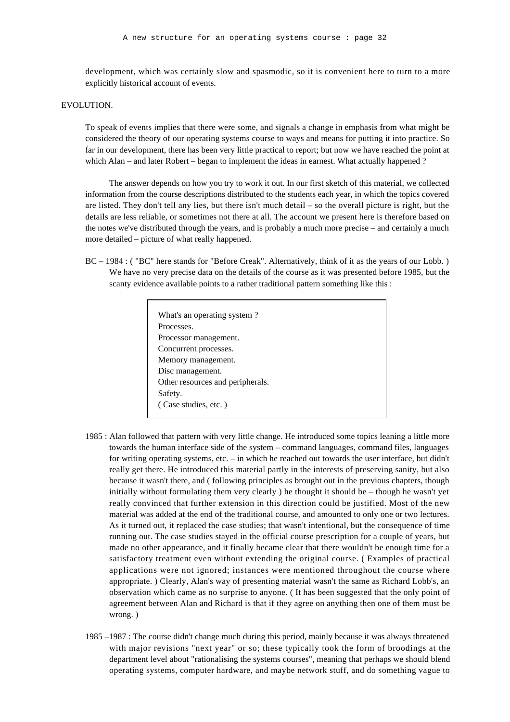development, which was certainly slow and spasmodic, so it is convenient here to turn to a more explicitly historical account of events.

#### EVOLUTION.

To speak of events implies that there were some, and signals a change in emphasis from what might be considered the theory of our operating systems course to ways and means for putting it into practice. So far in our development, there has been very little practical to report; but now we have reached the point at which Alan – and later Robert – began to implement the ideas in earnest. What actually happened ?

The answer depends on how you try to work it out. In our first sketch of this material, we collected information from the course descriptions distributed to the students each year, in which the topics covered are listed. They don't tell any lies, but there isn't much detail – so the overall picture is right, but the details are less reliable, or sometimes not there at all. The account we present here is therefore based on the notes we've distributed through the years, and is probably a much more precise – and certainly a much more detailed – picture of what really happened.

BC – 1984 : ( "BC" here stands for "Before Creak". Alternatively, think of it as the years of our Lobb. ) We have no very precise data on the details of the course as it was presented before 1985, but the scanty evidence available points to a rather traditional pattern something like this :

| What's an operating system?      |  |
|----------------------------------|--|
| Processes.                       |  |
| Processor management.            |  |
| Concurrent processes.            |  |
| Memory management.               |  |
| Disc management.                 |  |
| Other resources and peripherals. |  |
| Safety.                          |  |
| (Case studies, etc.)             |  |
|                                  |  |

- 1985 : Alan followed that pattern with very little change. He introduced some topics leaning a little more towards the human interface side of the system – command languages, command files, languages for writing operating systems, etc. – in which he reached out towards the user interface, but didn't really get there. He introduced this material partly in the interests of preserving sanity, but also because it wasn't there, and ( following principles as brought out in the previous chapters, though initially without formulating them very clearly ) he thought it should be – though he wasn't yet really convinced that further extension in this direction could be justified. Most of the new material was added at the end of the traditional course, and amounted to only one or two lectures. As it turned out, it replaced the case studies; that wasn't intentional, but the consequence of time running out. The case studies stayed in the official course prescription for a couple of years, but made no other appearance, and it finally became clear that there wouldn't be enough time for a satisfactory treatment even without extending the original course. ( Examples of practical applications were not ignored; instances were mentioned throughout the course where appropriate. ) Clearly, Alan's way of presenting material wasn't the same as Richard Lobb's, an observation which came as no surprise to anyone. ( It has been suggested that the only point of agreement between Alan and Richard is that if they agree on anything then one of them must be wrong. )
- 1985 –1987 : The course didn't change much during this period, mainly because it was always threatened with major revisions "next year" or so; these typically took the form of broodings at the department level about "rationalising the systems courses", meaning that perhaps we should blend operating systems, computer hardware, and maybe network stuff, and do something vague to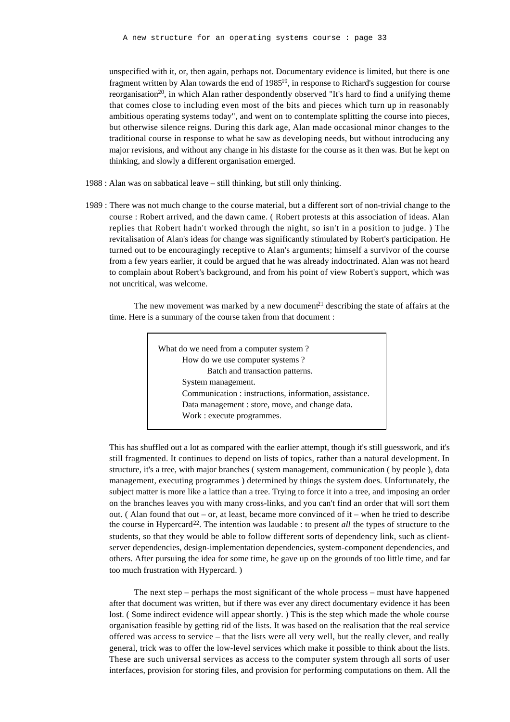unspecified with it, or, then again, perhaps not. Documentary evidence is limited, but there is one fragment written by Alan towards the end of 1985<sup>19</sup>, in response to Richard's suggestion for course reorganisation<sup>20</sup>, in which Alan rather despondently observed "It's hard to find a unifying theme that comes close to including even most of the bits and pieces which turn up in reasonably ambitious operating systems today", and went on to contemplate splitting the course into pieces, but otherwise silence reigns. During this dark age, Alan made occasional minor changes to the traditional course in response to what he saw as developing needs, but without introducing any major revisions, and without any change in his distaste for the course as it then was. But he kept on thinking, and slowly a different organisation emerged.

- 1988 : Alan was on sabbatical leave still thinking, but still only thinking.
- 1989 : There was not much change to the course material, but a different sort of non-trivial change to the course : Robert arrived, and the dawn came. ( Robert protests at this association of ideas. Alan replies that Robert hadn't worked through the night, so isn't in a position to judge. ) The revitalisation of Alan's ideas for change was significantly stimulated by Robert's participation. He turned out to be encouragingly receptive to Alan's arguments; himself a survivor of the course from a few years earlier, it could be argued that he was already indoctrinated. Alan was not heard to complain about Robert's background, and from his point of view Robert's support, which was not uncritical, was welcome.

The new movement was marked by a new document<sup>21</sup> describing the state of affairs at the time. Here is a summary of the course taken from that document :

| What do we need from a computer system?                |
|--------------------------------------------------------|
| How do we use computer systems?                        |
| Batch and transaction patterns.                        |
| System management.                                     |
| Communication : instructions, information, assistance. |
| Data management : store, move, and change data.        |
| Work : execute programmes.                             |
|                                                        |

This has shuffled out a lot as compared with the earlier attempt, though it's still guesswork, and it's still fragmented. It continues to depend on lists of topics, rather than a natural development. In structure, it's a tree, with major branches ( system management, communication ( by people ), data management, executing programmes ) determined by things the system does. Unfortunately, the subject matter is more like a lattice than a tree. Trying to force it into a tree, and imposing an order on the branches leaves you with many cross-links, and you can't find an order that will sort them out. ( Alan found that out – or, at least, became more convinced of it – when he tried to describe the course in Hypercard<sup>22</sup>. The intention was laudable : to present *all* the types of structure to the students, so that they would be able to follow different sorts of dependency link, such as clientserver dependencies, design-implementation dependencies, system-component dependencies, and others. After pursuing the idea for some time, he gave up on the grounds of too little time, and far too much frustration with Hypercard. )

The next step – perhaps the most significant of the whole process – must have happened after that document was written, but if there was ever any direct documentary evidence it has been lost. ( Some indirect evidence will appear shortly. ) This is the step which made the whole course organisation feasible by getting rid of the lists. It was based on the realisation that the real service offered was access to service – that the lists were all very well, but the really clever, and really general, trick was to offer the low-level services which make it possible to think about the lists. These are such universal services as access to the computer system through all sorts of user interfaces, provision for storing files, and provision for performing computations on them. All the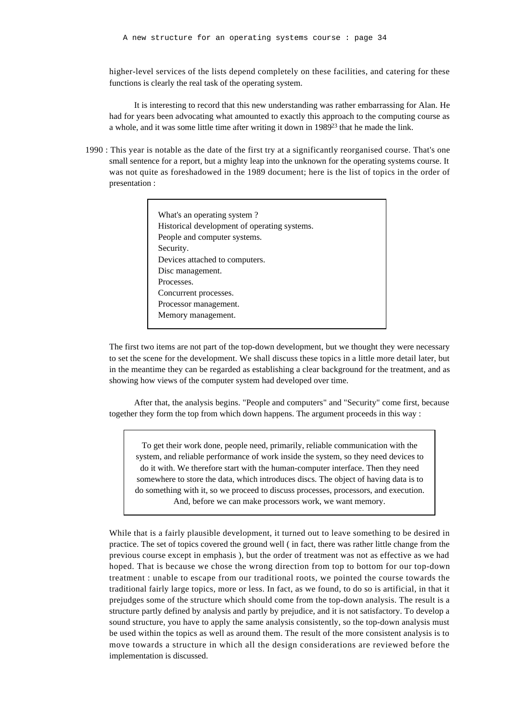higher-level services of the lists depend completely on these facilities, and catering for these functions is clearly the real task of the operating system.

It is interesting to record that this new understanding was rather embarrassing for Alan. He had for years been advocating what amounted to exactly this approach to the computing course as a whole, and it was some little time after writing it down in 1989<sup>23</sup> that he made the link.

1990 : This year is notable as the date of the first try at a significantly reorganised course. That's one small sentence for a report, but a mighty leap into the unknown for the operating systems course. It was not quite as foreshadowed in the 1989 document; here is the list of topics in the order of presentation :

| What's an operating system?                  |
|----------------------------------------------|
| Historical development of operating systems. |
| People and computer systems.                 |
| Security.                                    |
| Devices attached to computers.               |
| Disc management.                             |
| Processes.                                   |
| Concurrent processes.                        |
| Processor management.                        |
| Memory management.                           |
|                                              |

The first two items are not part of the top-down development, but we thought they were necessary to set the scene for the development. We shall discuss these topics in a little more detail later, but in the meantime they can be regarded as establishing a clear background for the treatment, and as showing how views of the computer system had developed over time.

After that, the analysis begins. "People and computers" and "Security" come first, because together they form the top from which down happens. The argument proceeds in this way :

To get their work done, people need, primarily, reliable communication with the system, and reliable performance of work inside the system, so they need devices to do it with. We therefore start with the human-computer interface. Then they need somewhere to store the data, which introduces discs. The object of having data is to do something with it, so we proceed to discuss processes, processors, and execution. And, before we can make processors work, we want memory.

While that is a fairly plausible development, it turned out to leave something to be desired in practice. The set of topics covered the ground well ( in fact, there was rather little change from the previous course except in emphasis ), but the order of treatment was not as effective as we had hoped. That is because we chose the wrong direction from top to bottom for our top-down treatment : unable to escape from our traditional roots, we pointed the course towards the traditional fairly large topics, more or less. In fact, as we found, to do so is artificial, in that it prejudges some of the structure which should come from the top-down analysis. The result is a structure partly defined by analysis and partly by prejudice, and it is not satisfactory. To develop a sound structure, you have to apply the same analysis consistently, so the top-down analysis must be used within the topics as well as around them. The result of the more consistent analysis is to move towards a structure in which all the design considerations are reviewed before the implementation is discussed.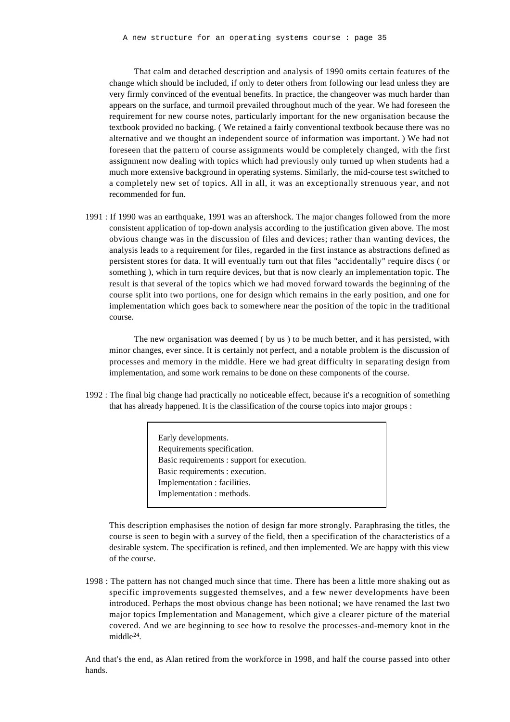That calm and detached description and analysis of 1990 omits certain features of the change which should be included, if only to deter others from following our lead unless they are very firmly convinced of the eventual benefits. In practice, the changeover was much harder than appears on the surface, and turmoil prevailed throughout much of the year. We had foreseen the requirement for new course notes, particularly important for the new organisation because the textbook provided no backing. ( We retained a fairly conventional textbook because there was no alternative and we thought an independent source of information was important. ) We had not foreseen that the pattern of course assignments would be completely changed, with the first assignment now dealing with topics which had previously only turned up when students had a much more extensive background in operating systems. Similarly, the mid-course test switched to a completely new set of topics. All in all, it was an exceptionally strenuous year, and not recommended for fun.

1991 : If 1990 was an earthquake, 1991 was an aftershock. The major changes followed from the more consistent application of top-down analysis according to the justification given above. The most obvious change was in the discussion of files and devices; rather than wanting devices, the analysis leads to a requirement for files, regarded in the first instance as abstractions defined as persistent stores for data. It will eventually turn out that files "accidentally" require discs ( or something ), which in turn require devices, but that is now clearly an implementation topic. The result is that several of the topics which we had moved forward towards the beginning of the course split into two portions, one for design which remains in the early position, and one for implementation which goes back to somewhere near the position of the topic in the traditional course.

The new organisation was deemed ( by us ) to be much better, and it has persisted, with minor changes, ever since. It is certainly not perfect, and a notable problem is the discussion of processes and memory in the middle. Here we had great difficulty in separating design from implementation, and some work remains to be done on these components of the course.

1992 : The final big change had practically no noticeable effect, because it's a recognition of something that has already happened. It is the classification of the course topics into major groups :

> Early developments. Requirements specification. Basic requirements : support for execution. Basic requirements : execution. Implementation : facilities. Implementation : methods.

This description emphasises the notion of design far more strongly. Paraphrasing the titles, the course is seen to begin with a survey of the field, then a specification of the characteristics of a desirable system. The specification is refined, and then implemented. We are happy with this view of the course.

1998 : The pattern has not changed much since that time. There has been a little more shaking out as specific improvements suggested themselves, and a few newer developments have been introduced. Perhaps the most obvious change has been notional; we have renamed the last two major topics Implementation and Management, which give a clearer picture of the material covered. And we are beginning to see how to resolve the processes-and-memory knot in the middle<sup>24</sup>.

And that's the end, as Alan retired from the workforce in 1998, and half the course passed into other hands.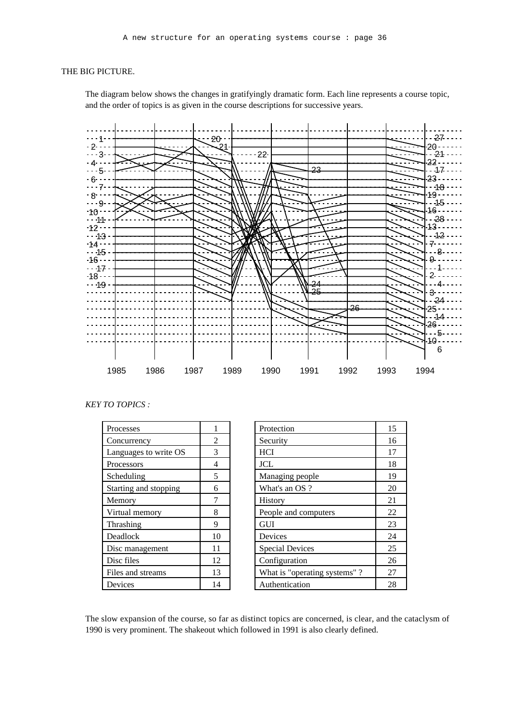#### THE BIG PICTURE.

The diagram below shows the changes in gratifyingly dramatic form. Each line represents a course topic, and the order of topics is as given in the course descriptions for successive years.



*KEY TO TOPICS :*

| Processes             |    |
|-----------------------|----|
| Concurrency           | 2  |
| Languages to write OS | 3  |
| Processors            | 4  |
| Scheduling            | 5  |
| Starting and stopping | 6  |
| Memory                | 7  |
| Virtual memory        | 8  |
| Thrashing             | 9  |
| Deadlock              | 10 |
| Disc management       | 11 |
| Disc files            | 12 |
| Files and streams     | 13 |
| Devices               | 14 |

| Processes             |             | Protection                   | 15 |
|-----------------------|-------------|------------------------------|----|
| Concurrency           | 2           | Security                     | 16 |
| Languages to write OS | 3           | <b>HCI</b>                   | 17 |
| Processors            | 4           | <b>JCL</b>                   | 18 |
| Scheduling            | 5           | Managing people              | 19 |
| Starting and stopping | 6           | What's an OS ?               | 20 |
| Memory                |             | History                      | 21 |
| Virtual memory        | 8           | People and computers         | 22 |
| Thrashing             | $\mathbf Q$ | <b>GUI</b>                   | 23 |
| Deadlock              | 10          | Devices                      | 24 |
| Disc management       | 11          | <b>Special Devices</b>       | 25 |
| Disc files            | 12          | Configuration                | 26 |
| Files and streams     | 13          | What is "operating systems"? | 27 |
| Devices               | 14          | Authentication               | 28 |

The slow expansion of the course, so far as distinct topics are concerned, is clear, and the cataclysm of 1990 is very prominent. The shakeout which followed in 1991 is also clearly defined.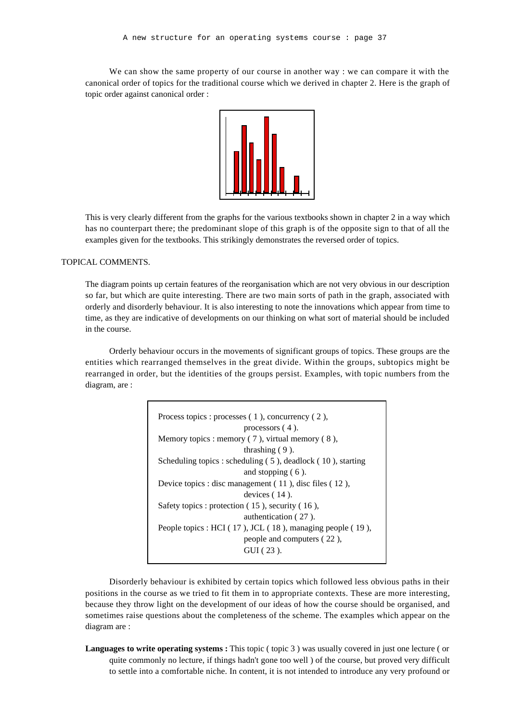We can show the same property of our course in another way : we can compare it with the canonical order of topics for the traditional course which we derived in chapter 2. Here is the graph of topic order against canonical order :



This is very clearly different from the graphs for the various textbooks shown in chapter 2 in a way which has no counterpart there; the predominant slope of this graph is of the opposite sign to that of all the examples given for the textbooks. This strikingly demonstrates the reversed order of topics.

#### TOPICAL COMMENTS.

The diagram points up certain features of the reorganisation which are not very obvious in our description so far, but which are quite interesting. There are two main sorts of path in the graph, associated with orderly and disorderly behaviour. It is also interesting to note the innovations which appear from time to time, as they are indicative of developments on our thinking on what sort of material should be included in the course.

Orderly behaviour occurs in the movements of significant groups of topics. These groups are the entities which rearranged themselves in the great divide. Within the groups, subtopics might be rearranged in order, but the identities of the groups persist. Examples, with topic numbers from the diagram, are :

| Process topics : processes $(1)$ , concurrency $(2)$ ,       |
|--------------------------------------------------------------|
| processors $(4)$ .                                           |
| Memory topics : memory $(7)$ , virtual memory $(8)$ ,        |
| thrashing $(9)$ .                                            |
| Scheduling topics : scheduling (5), deadlock (10), starting  |
| and stopping $(6)$ .                                         |
| Device topics : disc management $(11)$ , disc files $(12)$ , |
| devices $(14)$ .                                             |
| Safety topics : protection $(15)$ , security $(16)$ ,        |
| authentication (27).                                         |
| People topics : HCI (17), JCL (18), managing people (19),    |
| people and computers (22),                                   |
| $GUI(23)$ .                                                  |
|                                                              |

Disorderly behaviour is exhibited by certain topics which followed less obvious paths in their positions in the course as we tried to fit them in to appropriate contexts. These are more interesting, because they throw light on the development of our ideas of how the course should be organised, and sometimes raise questions about the completeness of the scheme. The examples which appear on the diagram are :

**Languages to write operating systems :** This topic ( topic 3 ) was usually covered in just one lecture ( or quite commonly no lecture, if things hadn't gone too well ) of the course, but proved very difficult to settle into a comfortable niche. In content, it is not intended to introduce any very profound or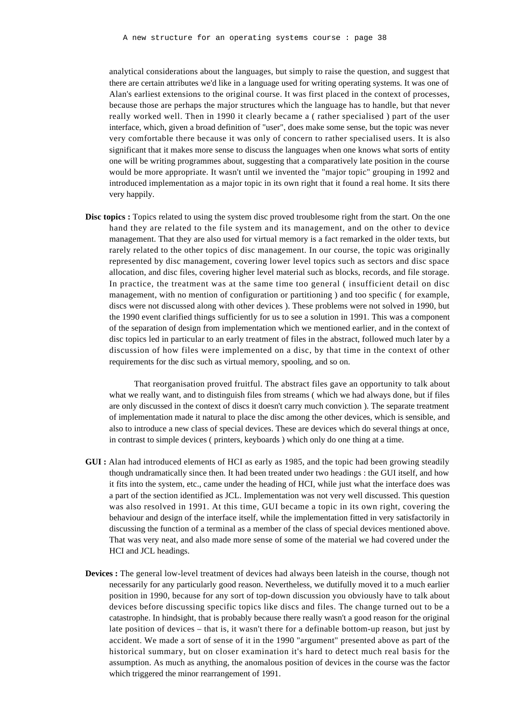analytical considerations about the languages, but simply to raise the question, and suggest that there are certain attributes we'd like in a language used for writing operating systems. It was one of Alan's earliest extensions to the original course. It was first placed in the context of processes, because those are perhaps the major structures which the language has to handle, but that never really worked well. Then in 1990 it clearly became a ( rather specialised ) part of the user interface, which, given a broad definition of "user", does make some sense, but the topic was never very comfortable there because it was only of concern to rather specialised users. It is also significant that it makes more sense to discuss the languages when one knows what sorts of entity one will be writing programmes about, suggesting that a comparatively late position in the course would be more appropriate. It wasn't until we invented the "major topic" grouping in 1992 and introduced implementation as a major topic in its own right that it found a real home. It sits there very happily.

**Disc topics :** Topics related to using the system disc proved troublesome right from the start. On the one hand they are related to the file system and its management, and on the other to device management. That they are also used for virtual memory is a fact remarked in the older texts, but rarely related to the other topics of disc management. In our course, the topic was originally represented by disc management, covering lower level topics such as sectors and disc space allocation, and disc files, covering higher level material such as blocks, records, and file storage. In practice, the treatment was at the same time too general ( insufficient detail on disc management, with no mention of configuration or partitioning ) and too specific ( for example, discs were not discussed along with other devices ). These problems were not solved in 1990, but the 1990 event clarified things sufficiently for us to see a solution in 1991. This was a component of the separation of design from implementation which we mentioned earlier, and in the context of disc topics led in particular to an early treatment of files in the abstract, followed much later by a discussion of how files were implemented on a disc, by that time in the context of other requirements for the disc such as virtual memory, spooling, and so on.

That reorganisation proved fruitful. The abstract files gave an opportunity to talk about what we really want, and to distinguish files from streams ( which we had always done, but if files are only discussed in the context of discs it doesn't carry much conviction ). The separate treatment of implementation made it natural to place the disc among the other devices, which is sensible, and also to introduce a new class of special devices. These are devices which do several things at once, in contrast to simple devices ( printers, keyboards ) which only do one thing at a time.

- **GUI :** Alan had introduced elements of HCI as early as 1985, and the topic had been growing steadily though undramatically since then. It had been treated under two headings : the GUI itself, and how it fits into the system, etc., came under the heading of HCI, while just what the interface does was a part of the section identified as JCL. Implementation was not very well discussed. This question was also resolved in 1991. At this time, GUI became a topic in its own right, covering the behaviour and design of the interface itself, while the implementation fitted in very satisfactorily in discussing the function of a terminal as a member of the class of special devices mentioned above. That was very neat, and also made more sense of some of the material we had covered under the HCI and JCL headings.
- **Devices :** The general low-level treatment of devices had always been lateish in the course, though not necessarily for any particularly good reason. Nevertheless, we dutifully moved it to a much earlier position in 1990, because for any sort of top-down discussion you obviously have to talk about devices before discussing specific topics like discs and files. The change turned out to be a catastrophe. In hindsight, that is probably because there really wasn't a good reason for the original late position of devices – that is, it wasn't there for a definable bottom-up reason, but just by accident. We made a sort of sense of it in the 1990 "argument" presented above as part of the historical summary, but on closer examination it's hard to detect much real basis for the assumption. As much as anything, the anomalous position of devices in the course was the factor which triggered the minor rearrangement of 1991.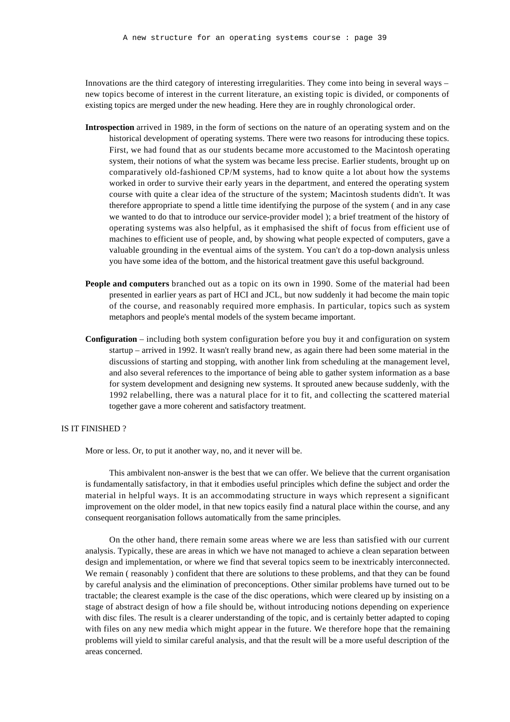Innovations are the third category of interesting irregularities. They come into being in several ways – new topics become of interest in the current literature, an existing topic is divided, or components of existing topics are merged under the new heading. Here they are in roughly chronological order.

- **Introspection** arrived in 1989, in the form of sections on the nature of an operating system and on the historical development of operating systems. There were two reasons for introducing these topics. First, we had found that as our students became more accustomed to the Macintosh operating system, their notions of what the system was became less precise. Earlier students, brought up on comparatively old-fashioned CP/M systems, had to know quite a lot about how the systems worked in order to survive their early years in the department, and entered the operating system course with quite a clear idea of the structure of the system; Macintosh students didn't. It was therefore appropriate to spend a little time identifying the purpose of the system ( and in any case we wanted to do that to introduce our service-provider model ); a brief treatment of the history of operating systems was also helpful, as it emphasised the shift of focus from efficient use of machines to efficient use of people, and, by showing what people expected of computers, gave a valuable grounding in the eventual aims of the system. You can't do a top-down analysis unless you have some idea of the bottom, and the historical treatment gave this useful background.
- **People and computers** branched out as a topic on its own in 1990. Some of the material had been presented in earlier years as part of HCI and JCL, but now suddenly it had become the main topic of the course, and reasonably required more emphasis. In particular, topics such as system metaphors and people's mental models of the system became important.
- **Configuration** including both system configuration before you buy it and configuration on system startup – arrived in 1992. It wasn't really brand new, as again there had been some material in the discussions of starting and stopping, with another link from scheduling at the management level, and also several references to the importance of being able to gather system information as a base for system development and designing new systems. It sprouted anew because suddenly, with the 1992 relabelling, there was a natural place for it to fit, and collecting the scattered material together gave a more coherent and satisfactory treatment.

#### IS IT FINISHED ?

More or less. Or, to put it another way, no, and it never will be.

This ambivalent non-answer is the best that we can offer. We believe that the current organisation is fundamentally satisfactory, in that it embodies useful principles which define the subject and order the material in helpful ways. It is an accommodating structure in ways which represent a significant improvement on the older model, in that new topics easily find a natural place within the course, and any consequent reorganisation follows automatically from the same principles.

On the other hand, there remain some areas where we are less than satisfied with our current analysis. Typically, these are areas in which we have not managed to achieve a clean separation between design and implementation, or where we find that several topics seem to be inextricably interconnected. We remain ( reasonably ) confident that there are solutions to these problems, and that they can be found by careful analysis and the elimination of preconceptions. Other similar problems have turned out to be tractable; the clearest example is the case of the disc operations, which were cleared up by insisting on a stage of abstract design of how a file should be, without introducing notions depending on experience with disc files. The result is a clearer understanding of the topic, and is certainly better adapted to coping with files on any new media which might appear in the future. We therefore hope that the remaining problems will yield to similar careful analysis, and that the result will be a more useful description of the areas concerned.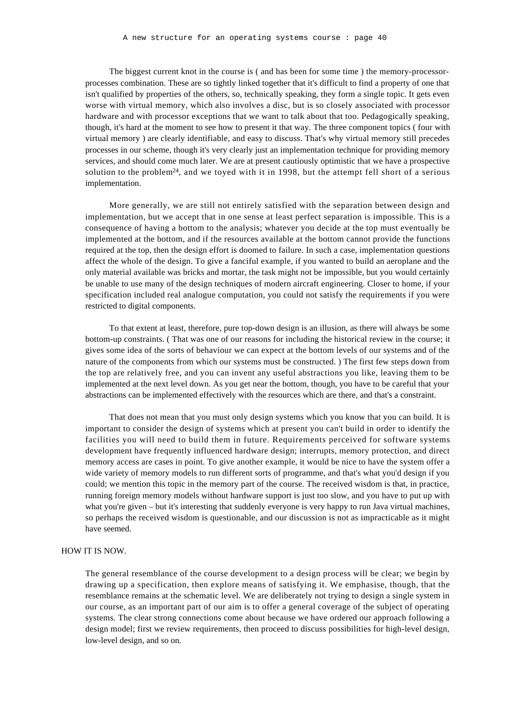The biggest current knot in the course is ( and has been for some time ) the memory-processorprocesses combination. These are so tightly linked together that it's difficult to find a property of one that isn't qualified by properties of the others, so, technically speaking, they form a single topic. It gets even worse with virtual memory, which also involves a disc, but is so closely associated with processor hardware and with processor exceptions that we want to talk about that too. Pedagogically speaking, though, it's hard at the moment to see how to present it that way. The three component topics ( four with virtual memory ) are clearly identifiable, and easy to discuss. That's why virtual memory still precedes processes in our scheme, though it's very clearly just an implementation technique for providing memory services, and should come much later. We are at present cautiously optimistic that we have a prospective solution to the problem<sup>24</sup>, and we toyed with it in 1998, but the attempt fell short of a serious implementation.

More generally, we are still not entirely satisfied with the separation between design and implementation, but we accept that in one sense at least perfect separation is impossible. This is a consequence of having a bottom to the analysis; whatever you decide at the top must eventually be implemented at the bottom, and if the resources available at the bottom cannot provide the functions required at the top, then the design effort is doomed to failure. In such a case, implementation questions affect the whole of the design. To give a fanciful example, if you wanted to build an aeroplane and the only material available was bricks and mortar, the task might not be impossible, but you would certainly be unable to use many of the design techniques of modern aircraft engineering. Closer to home, if your specification included real analogue computation, you could not satisfy the requirements if you were restricted to digital components.

To that extent at least, therefore, pure top-down design is an illusion, as there will always be some bottom-up constraints. ( That was one of our reasons for including the historical review in the course; it gives some idea of the sorts of behaviour we can expect at the bottom levels of our systems and of the nature of the components from which our systems must be constructed. ) The first few steps down from the top are relatively free, and you can invent any useful abstractions you like, leaving them to be implemented at the next level down. As you get near the bottom, though, you have to be careful that your abstractions can be implemented effectively with the resources which are there, and that's a constraint.

That does not mean that you must only design systems which you know that you can build. It is important to consider the design of systems which at present you can't build in order to identify the facilities you will need to build them in future. Requirements perceived for software systems development have frequently influenced hardware design; interrupts, memory protection, and direct memory access are cases in point. To give another example, it would be nice to have the system offer a wide variety of memory models to run different sorts of programme, and that's what you'd design if you could; we mention this topic in the memory part of the course. The received wisdom is that, in practice, running foreign memory models without hardware support is just too slow, and you have to put up with what you're given – but it's interesting that suddenly everyone is very happy to run Java virtual machines, so perhaps the received wisdom is questionable, and our discussion is not as impracticable as it might have seemed.

#### HOW IT IS NOW.

The general resemblance of the course development to a design process will be clear; we begin by drawing up a specification, then explore means of satisfying it. We emphasise, though, that the resemblance remains at the schematic level. We are deliberately not trying to design a single system in our course, as an important part of our aim is to offer a general coverage of the subject of operating systems. The clear strong connections come about because we have ordered our approach following a design model; first we review requirements, then proceed to discuss possibilities for high-level design, low-level design, and so on.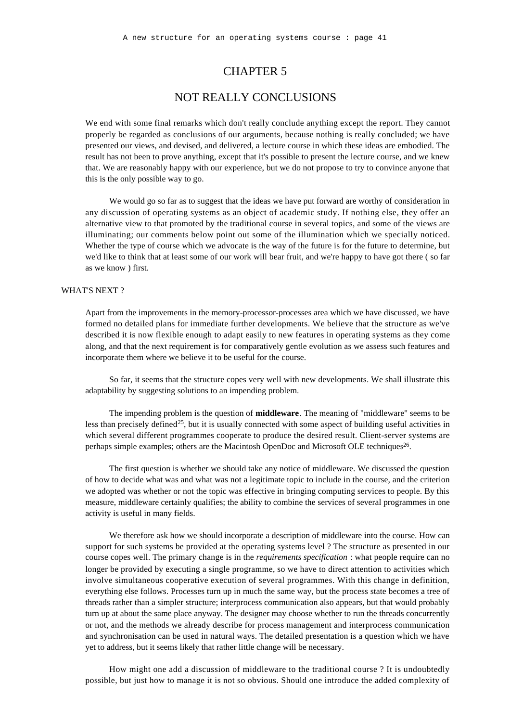## CHAPTER 5

## NOT REALLY CONCLUSIONS

We end with some final remarks which don't really conclude anything except the report. They cannot properly be regarded as conclusions of our arguments, because nothing is really concluded; we have presented our views, and devised, and delivered, a lecture course in which these ideas are embodied. The result has not been to prove anything, except that it's possible to present the lecture course, and we knew that. We are reasonably happy with our experience, but we do not propose to try to convince anyone that this is the only possible way to go.

We would go so far as to suggest that the ideas we have put forward are worthy of consideration in any discussion of operating systems as an object of academic study. If nothing else, they offer an alternative view to that promoted by the traditional course in several topics, and some of the views are illuminating; our comments below point out some of the illumination which we specially noticed. Whether the type of course which we advocate is the way of the future is for the future to determine, but we'd like to think that at least some of our work will bear fruit, and we're happy to have got there ( so far as we know ) first.

#### WHAT'S NEXT ?

Apart from the improvements in the memory-processor-processes area which we have discussed, we have formed no detailed plans for immediate further developments. We believe that the structure as we've described it is now flexible enough to adapt easily to new features in operating systems as they come along, and that the next requirement is for comparatively gentle evolution as we assess such features and incorporate them where we believe it to be useful for the course.

So far, it seems that the structure copes very well with new developments. We shall illustrate this adaptability by suggesting solutions to an impending problem.

The impending problem is the question of **middleware**. The meaning of "middleware" seems to be less than precisely defined<sup>25</sup>, but it is usually connected with some aspect of building useful activities in which several different programmes cooperate to produce the desired result. Client-server systems are perhaps simple examples; others are the Macintosh OpenDoc and Microsoft OLE techniques<sup>26</sup>.

The first question is whether we should take any notice of middleware. We discussed the question of how to decide what was and what was not a legitimate topic to include in the course, and the criterion we adopted was whether or not the topic was effective in bringing computing services to people. By this measure, middleware certainly qualifies; the ability to combine the services of several programmes in one activity is useful in many fields.

We therefore ask how we should incorporate a description of middleware into the course. How can support for such systems be provided at the operating systems level ? The structure as presented in our course copes well. The primary change is in the *requirements specification* : what people require can no longer be provided by executing a single programme, so we have to direct attention to activities which involve simultaneous cooperative execution of several programmes. With this change in definition, everything else follows. Processes turn up in much the same way, but the process state becomes a tree of threads rather than a simpler structure; interprocess communication also appears, but that would probably turn up at about the same place anyway. The designer may choose whether to run the threads concurrently or not, and the methods we already describe for process management and interprocess communication and synchronisation can be used in natural ways. The detailed presentation is a question which we have yet to address, but it seems likely that rather little change will be necessary.

How might one add a discussion of middleware to the traditional course ? It is undoubtedly possible, but just how to manage it is not so obvious. Should one introduce the added complexity of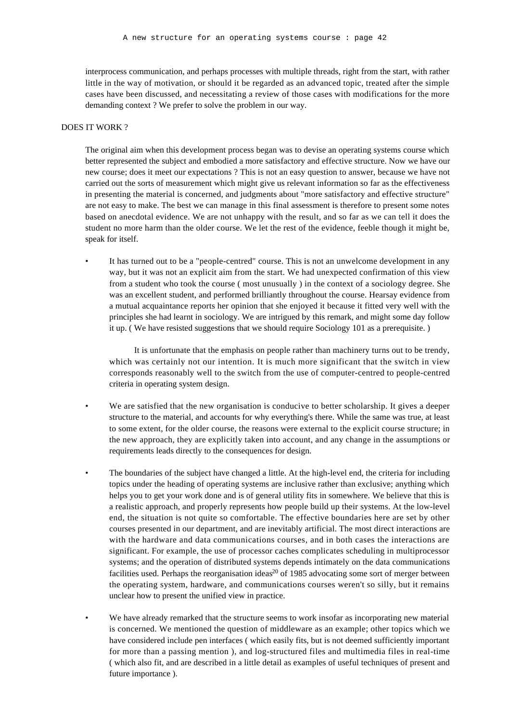interprocess communication, and perhaps processes with multiple threads, right from the start, with rather little in the way of motivation, or should it be regarded as an advanced topic, treated after the simple cases have been discussed, and necessitating a review of those cases with modifications for the more demanding context ? We prefer to solve the problem in our way.

#### DOES IT WORK ?

The original aim when this development process began was to devise an operating systems course which better represented the subject and embodied a more satisfactory and effective structure. Now we have our new course; does it meet our expectations ? This is not an easy question to answer, because we have not carried out the sorts of measurement which might give us relevant information so far as the effectiveness in presenting the material is concerned, and judgments about "more satisfactory and effective structure" are not easy to make. The best we can manage in this final assessment is therefore to present some notes based on anecdotal evidence. We are not unhappy with the result, and so far as we can tell it does the student no more harm than the older course. We let the rest of the evidence, feeble though it might be, speak for itself.

• It has turned out to be a "people-centred" course. This is not an unwelcome development in any way, but it was not an explicit aim from the start. We had unexpected confirmation of this view from a student who took the course ( most unusually ) in the context of a sociology degree. She was an excellent student, and performed brilliantly throughout the course. Hearsay evidence from a mutual acquaintance reports her opinion that she enjoyed it because it fitted very well with the principles she had learnt in sociology. We are intrigued by this remark, and might some day follow it up. ( We have resisted suggestions that we should require Sociology 101 as a prerequisite. )

It is unfortunate that the emphasis on people rather than machinery turns out to be trendy, which was certainly not our intention. It is much more significant that the switch in view corresponds reasonably well to the switch from the use of computer-centred to people-centred criteria in operating system design.

- We are satisfied that the new organisation is conducive to better scholarship. It gives a deeper structure to the material, and accounts for why everything's there. While the same was true, at least to some extent, for the older course, the reasons were external to the explicit course structure; in the new approach, they are explicitly taken into account, and any change in the assumptions or requirements leads directly to the consequences for design.
- The boundaries of the subject have changed a little. At the high-level end, the criteria for including topics under the heading of operating systems are inclusive rather than exclusive; anything which helps you to get your work done and is of general utility fits in somewhere. We believe that this is a realistic approach, and properly represents how people build up their systems. At the low-level end, the situation is not quite so comfortable. The effective boundaries here are set by other courses presented in our department, and are inevitably artificial. The most direct interactions are with the hardware and data communications courses, and in both cases the interactions are significant. For example, the use of processor caches complicates scheduling in multiprocessor systems; and the operation of distributed systems depends intimately on the data communications facilities used. Perhaps the reorganisation ideas<sup>20</sup> of 1985 advocating some sort of merger between the operating system, hardware, and communications courses weren't so silly, but it remains unclear how to present the unified view in practice.
- We have already remarked that the structure seems to work insofar as incorporating new material is concerned. We mentioned the question of middleware as an example; other topics which we have considered include pen interfaces ( which easily fits, but is not deemed sufficiently important for more than a passing mention ), and log-structured files and multimedia files in real-time ( which also fit, and are described in a little detail as examples of useful techniques of present and future importance ).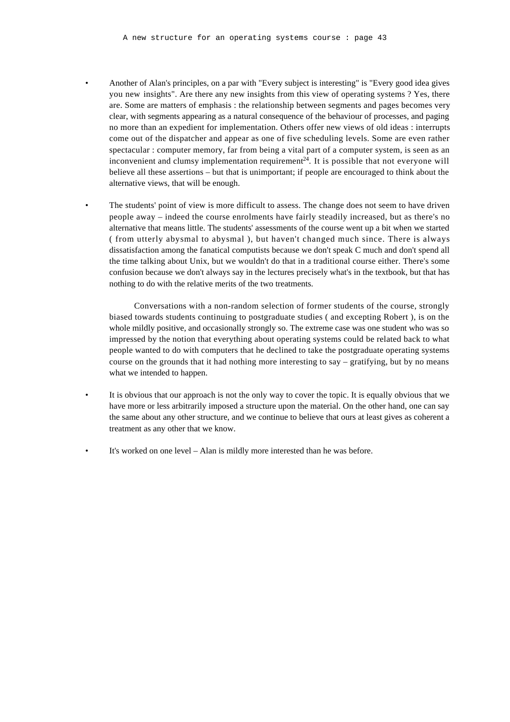- Another of Alan's principles, on a par with "Every subject is interesting" is "Every good idea gives you new insights". Are there any new insights from this view of operating systems ? Yes, there are. Some are matters of emphasis : the relationship between segments and pages becomes very clear, with segments appearing as a natural consequence of the behaviour of processes, and paging no more than an expedient for implementation. Others offer new views of old ideas : interrupts come out of the dispatcher and appear as one of five scheduling levels. Some are even rather spectacular : computer memory, far from being a vital part of a computer system, is seen as an inconvenient and clumsy implementation requirement $24$ . It is possible that not everyone will believe all these assertions – but that is unimportant; if people are encouraged to think about the alternative views, that will be enough.
- The students' point of view is more difficult to assess. The change does not seem to have driven people away – indeed the course enrolments have fairly steadily increased, but as there's no alternative that means little. The students' assessments of the course went up a bit when we started ( from utterly abysmal to abysmal ), but haven't changed much since. There is always dissatisfaction among the fanatical computists because we don't speak C much and don't spend all the time talking about Unix, but we wouldn't do that in a traditional course either. There's some confusion because we don't always say in the lectures precisely what's in the textbook, but that has nothing to do with the relative merits of the two treatments.

Conversations with a non-random selection of former students of the course, strongly biased towards students continuing to postgraduate studies ( and excepting Robert ), is on the whole mildly positive, and occasionally strongly so. The extreme case was one student who was so impressed by the notion that everything about operating systems could be related back to what people wanted to do with computers that he declined to take the postgraduate operating systems course on the grounds that it had nothing more interesting to say – gratifying, but by no means what we intended to happen.

- It is obvious that our approach is not the only way to cover the topic. It is equally obvious that we have more or less arbitrarily imposed a structure upon the material. On the other hand, one can say the same about any other structure, and we continue to believe that ours at least gives as coherent a treatment as any other that we know.
- It's worked on one level Alan is mildly more interested than he was before.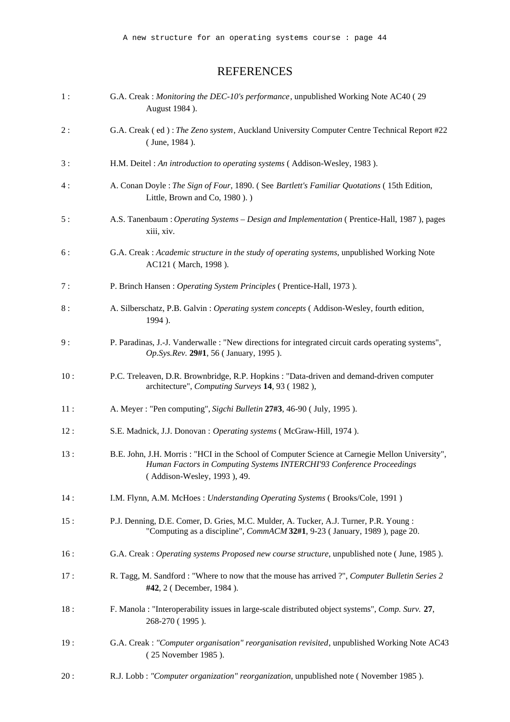## REFERENCES

| 1:   | G.A. Creak : Monitoring the DEC-10's performance, unpublished Working Note AC40 (29<br>August 1984 ).                                                                                                   |
|------|---------------------------------------------------------------------------------------------------------------------------------------------------------------------------------------------------------|
| 2:   | G.A. Creak (ed): The Zeno system, Auckland University Computer Centre Technical Report #22<br>(June, 1984).                                                                                             |
| 3:   | H.M. Deitel : An introduction to operating systems (Addison-Wesley, 1983).                                                                                                                              |
| 4 :  | A. Conan Doyle : The Sign of Four, 1890. (See Bartlett's Familiar Quotations (15th Edition,<br>Little, Brown and Co, 1980).)                                                                            |
| 5:   | A.S. Tanenbaum : Operating Systems - Design and Implementation (Prentice-Hall, 1987), pages<br>xiii, xiv.                                                                                               |
| 6 :  | G.A. Creak : Academic structure in the study of operating systems, unpublished Working Note<br>AC121 (March, 1998).                                                                                     |
| 7:   | P. Brinch Hansen: Operating System Principles (Prentice-Hall, 1973).                                                                                                                                    |
| $8:$ | A. Silberschatz, P.B. Galvin : Operating system concepts (Addison-Wesley, fourth edition,<br>1994).                                                                                                     |
| 9:   | P. Paradinas, J.-J. Vanderwalle : "New directions for integrated circuit cards operating systems",<br>Op.Sys.Rev. 29#1, 56 (January, 1995).                                                             |
| 10:  | P.C. Treleaven, D.R. Brownbridge, R.P. Hopkins : "Data-driven and demand-driven computer<br>architecture", Computing Surveys 14, 93 (1982),                                                             |
| 11:  | A. Meyer : "Pen computing", Sigchi Bulletin 27#3, 46-90 ( July, 1995 ).                                                                                                                                 |
| 12:  | S.E. Madnick, J.J. Donovan : Operating systems ( McGraw-Hill, 1974 ).                                                                                                                                   |
| 13:  | B.E. John, J.H. Morris : "HCI in the School of Computer Science at Carnegie Mellon University",<br>Human Factors in Computing Systems INTERCHI'93 Conference Proceedings<br>(Addison-Wesley, 1993), 49. |
| 14:  | I.M. Flynn, A.M. McHoes: Understanding Operating Systems (Brooks/Cole, 1991)                                                                                                                            |
| 15:  | P.J. Denning, D.E. Comer, D. Gries, M.C. Mulder, A. Tucker, A.J. Turner, P.R. Young:<br>"Computing as a discipline", CommACM 32#1, 9-23 (January, 1989), page 20.                                       |
| 16:  | G.A. Creak: Operating systems Proposed new course structure, unpublished note (June, 1985).                                                                                                             |
| 17:  | R. Tagg, M. Sandford: "Where to now that the mouse has arrived ?", Computer Bulletin Series 2<br>#42, 2 (December, 1984).                                                                               |
| 18:  | F. Manola : "Interoperability issues in large-scale distributed object systems", Comp. Surv. 27,<br>268-270 (1995).                                                                                     |
| 19:  | G.A. Creak : "Computer organisation" reorganisation revisited, unpublished Working Note AC43<br>(25 November 1985).                                                                                     |
| 20:  | R.J. Lobb : "Computer organization" reorganization, unpublished note (November 1985).                                                                                                                   |